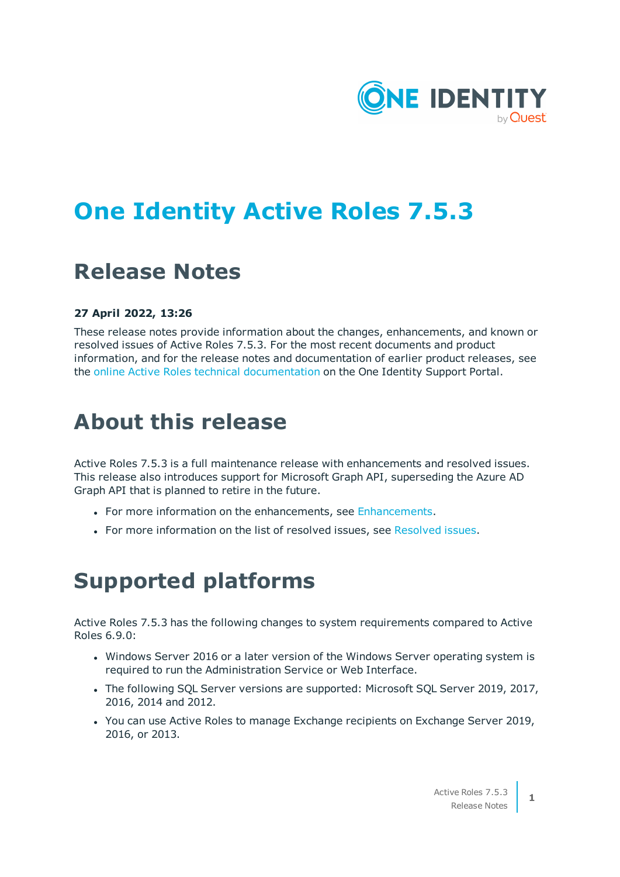

# **One Identity Active Roles 7.5.3**

# **Release Notes**

### **27 April 2022, 13:26**

These release notes provide information about the changes, enhancements, and known or resolved issues of Active Roles 7.5.3. For the most recent documents and product information, and for the release notes and documentation of earlier product releases, see the online Active Roles technical [documentation](https://support.oneidentity.com/active-roles/technical-documents) on the One Identity Support Portal.

# **About this release**

Active Roles 7.5.3 is a full maintenance release with enhancements and resolved issues. This release also introduces support for Microsoft Graph API, superseding the Azure AD Graph API that is planned to retire in the future.

- For more information on the enhancements, see [Enhancements.](#page-1-0)
- For more information on the list of resolved issues, see [Resolved](#page-3-0) issues.

# **Supported platforms**

Active Roles 7.5.3 has the following changes to system requirements compared to Active Roles 6.9.0:

- Windows Server 2016 or a later version of the Windows Server operating system is required to run the Administration Service or Web Interface.
- The following SQL Server versions are supported: Microsoft SQL Server 2019, 2017, 2016, 2014 and 2012.
- You can use Active Roles to manage Exchange recipients on Exchange Server 2019, 2016, or 2013.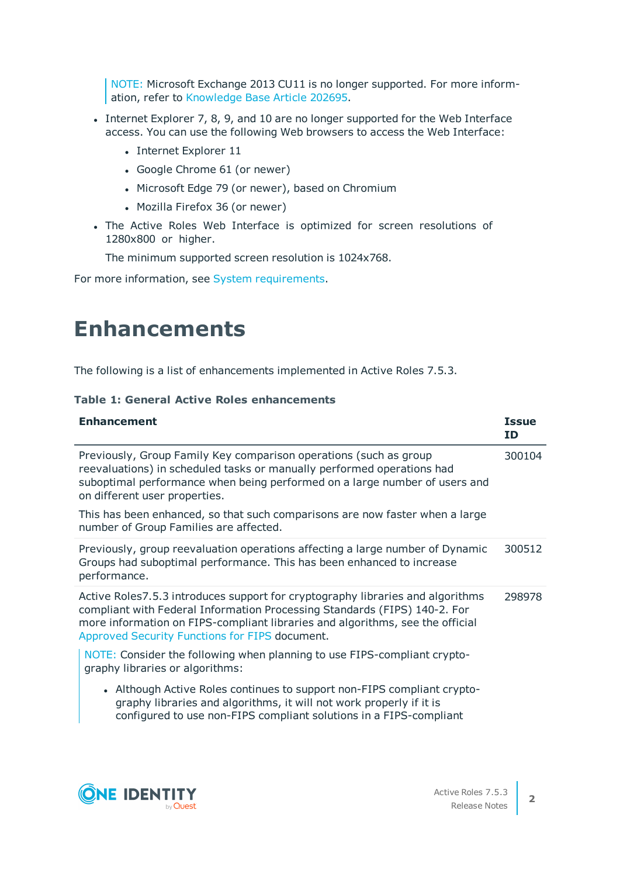NOTE: Microsoft Exchange 2013 CU11 is no longer supported. For more information, refer to [Knowledge](https://support.quest.com/kb/202695) Base Article 202695.

- Internet Explorer 7, 8, 9, and 10 are no longer supported for the Web Interface access. You can use the following Web browsers to access the Web Interface:
	- Internet Explorer 11
	- Google Chrome 61 (or newer)
	- Microsoft Edge 79 (or newer), based on Chromium
	- Mozilla Firefox 36 (or newer)
- . The Active Roles Web Interface is optimized for screen resolutions of 1280x800 or higher.

The minimum supported screen resolution is 1024x768.

<span id="page-1-0"></span>For more information, see System [requirements](#page-12-0).

# **Enhancements**

The following is a list of enhancements implemented in Active Roles 7.5.3.

### **Table 1: General Active Roles enhancements**

| <b>Enhancement</b>                                                                                                                                                                                                                                                                             | <b>Issue</b><br>ID |
|------------------------------------------------------------------------------------------------------------------------------------------------------------------------------------------------------------------------------------------------------------------------------------------------|--------------------|
| Previously, Group Family Key comparison operations (such as group<br>reevaluations) in scheduled tasks or manually performed operations had<br>suboptimal performance when being performed on a large number of users and<br>on different user properties.                                     | 300104             |
| This has been enhanced, so that such comparisons are now faster when a large<br>number of Group Families are affected.                                                                                                                                                                         |                    |
| Previously, group reevaluation operations affecting a large number of Dynamic<br>Groups had suboptimal performance. This has been enhanced to increase<br>performance.                                                                                                                         | 300512             |
| Active Roles7.5.3 introduces support for cryptography libraries and algorithms<br>compliant with Federal Information Processing Standards (FIPS) 140-2. For<br>more information on FIPS-compliant libraries and algorithms, see the official<br>Approved Security Functions for FIPS document. | 298978             |
| NOTE: Consider the following when planning to use FIPS-compliant crypto-<br>graphy libraries or algorithms:                                                                                                                                                                                    |                    |
| • Although Active Roles continues to support non-FIPS compliant crypto-<br>graphy libraries and algorithms, it will not work properly if it is<br>configured to use non-FIPS compliant solutions in a FIPS-compliant                                                                           |                    |

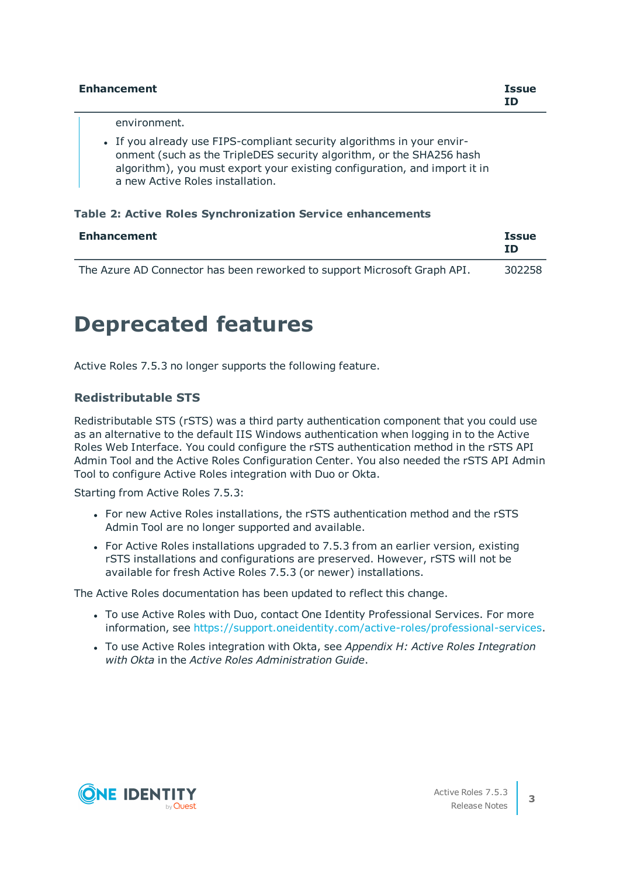| <b>Enhancement</b> | <b>Issue</b> |
|--------------------|--------------|
|                    | ΙD           |

environment.

• If you already use FIPS-compliant security algorithms in your environment (such as the TripleDES security algorithm, or the SHA256 hash algorithm), you must export your existing configuration, and import it in a new Active Roles installation.

### **Table 2: Active Roles Synchronization Service enhancements**

| <b>Enhancement</b>                                                       | <b>Issue</b><br>ID |
|--------------------------------------------------------------------------|--------------------|
| The Azure AD Connector has been reworked to support Microsoft Graph API. | 302258             |

# **Deprecated features**

Active Roles 7.5.3 no longer supports the following feature.

### **Redistributable STS**

Redistributable STS (rSTS) was a third party authentication component that you could use as an alternative to the default IIS Windows authentication when logging in to the Active Roles Web Interface. You could configure the rSTS authentication method in the rSTS API Admin Tool and the Active Roles Configuration Center. You also needed the rSTS API Admin Tool to configure Active Roles integration with Duo or Okta.

Starting from Active Roles 7.5.3:

- <sup>l</sup> For new Active Roles installations, the rSTS authentication method and the rSTS Admin Tool are no longer supported and available.
- For Active Roles installations upgraded to 7.5.3 from an earlier version, existing rSTS installations and configurations are preserved. However, rSTS will not be available for fresh Active Roles 7.5.3 (or newer) installations.

The Active Roles documentation has been updated to reflect this change.

- To use Active Roles with Duo, contact One Identity Professional Services. For more information, see <https://support.oneidentity.com/active-roles/professional-services>.
- <sup>l</sup> To use Active Roles integration with Okta, see *Appendix H: Active Roles Integration with Okta* in the *Active Roles Administration Guide*.

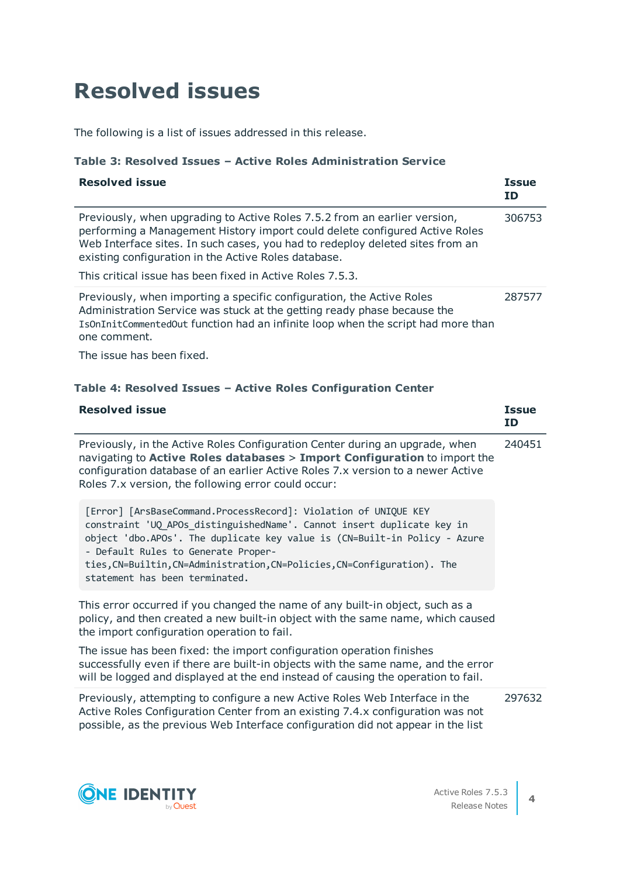# <span id="page-3-0"></span>**Resolved issues**

The following is a list of issues addressed in this release.

### **Table 3: Resolved Issues – Active Roles Administration Service**

| <b>Resolved issue</b>                                                                                                                                                                                                                                                                                                                                                       | <b>Issue</b><br>ID        |
|-----------------------------------------------------------------------------------------------------------------------------------------------------------------------------------------------------------------------------------------------------------------------------------------------------------------------------------------------------------------------------|---------------------------|
| Previously, when upgrading to Active Roles 7.5.2 from an earlier version,<br>performing a Management History import could delete configured Active Roles<br>Web Interface sites. In such cases, you had to redeploy deleted sites from an<br>existing configuration in the Active Roles database.                                                                           | 306753                    |
| This critical issue has been fixed in Active Roles 7.5.3.                                                                                                                                                                                                                                                                                                                   |                           |
| Previously, when importing a specific configuration, the Active Roles<br>Administration Service was stuck at the getting ready phase because the<br>IsOnInitCommentedOut function had an infinite loop when the script had more than<br>one comment.                                                                                                                        | 287577                    |
| The issue has been fixed.                                                                                                                                                                                                                                                                                                                                                   |                           |
| Table 4: Resolved Issues - Active Roles Configuration Center                                                                                                                                                                                                                                                                                                                |                           |
| <b>Resolved issue</b>                                                                                                                                                                                                                                                                                                                                                       | <b>Issue</b><br><b>ID</b> |
| Previously, in the Active Roles Configuration Center during an upgrade, when<br>navigating to Active Roles databases > Import Configuration to import the<br>configuration database of an earlier Active Roles 7.x version to a newer Active<br>Roles 7.x version, the following error could occur:                                                                         | 240451                    |
| [Error] [ArsBaseCommand.ProcessRecord]: Violation of UNIQUE KEY<br>constraint 'UQ_APOs_distinguishedName'. Cannot insert duplicate key in<br>object 'dbo.APOs'. The duplicate key value is (CN=Built-in Policy - Azure<br>- Default Rules to Generate Proper-<br>ties, CN=Builtin, CN=Administration, CN=Policies, CN=Configuration). The<br>statement has been terminated. |                           |
| This error occurred if you changed the name of any built-in object, such as a<br>policy, and then created a new built-in object with the same name, which caused<br>the import configuration operation to fail.                                                                                                                                                             |                           |
| The issue has been fixed: the import configuration operation finishes<br>successfully even if there are built-in objects with the same name, and the error<br>will be logged and displayed at the end instead of causing the operation to fail.                                                                                                                             |                           |
| Previously, attempting to configure a new Active Roles Web Interface in the<br>Active Roles Configuration Center from an existing 7.4.x configuration was not<br>possible, as the previous Web Interface configuration did not appear in the list                                                                                                                           | 297632                    |

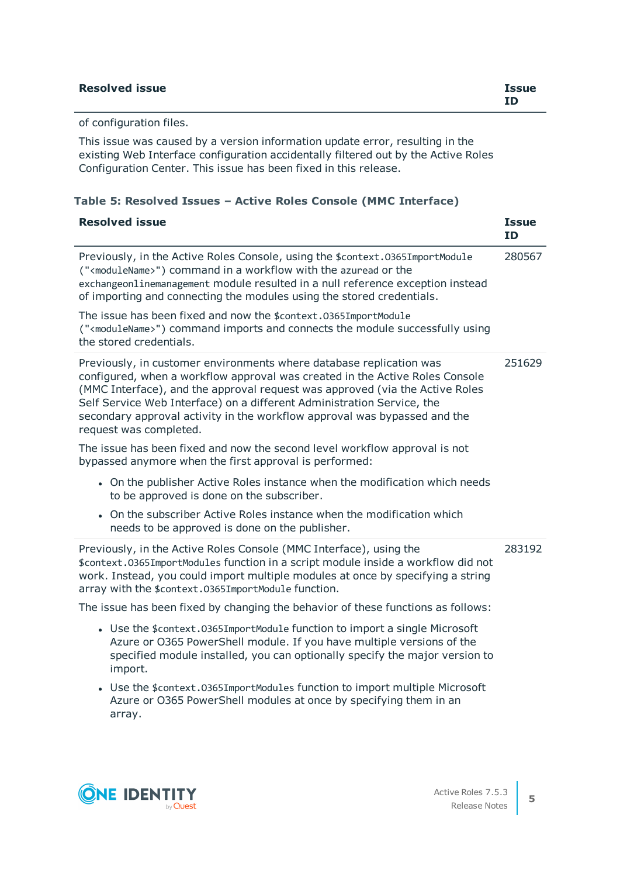| <b>Resolved issue</b> | <b>Issue</b> |
|-----------------------|--------------|
|                       | ΙD           |

of configuration files.

This issue was caused by a version information update error, resulting in the existing Web Interface configuration accidentally filtered out by the Active Roles Configuration Center. This issue has been fixed in this release.

### **Table 5: Resolved Issues – Active Roles Console (MMC Interface)**

| <b>Resolved issue</b>                                                                                                                                                                                                                                                                                                                                                                                                | <b>Issue</b><br><b>ID</b> |
|----------------------------------------------------------------------------------------------------------------------------------------------------------------------------------------------------------------------------------------------------------------------------------------------------------------------------------------------------------------------------------------------------------------------|---------------------------|
| Previously, in the Active Roles Console, using the \$context.0365ImportModule<br>(" <modulename>") command in a workflow with the azuread or the<br/>exchangeonlinemanagement module resulted in a null reference exception instead<br/>of importing and connecting the modules using the stored credentials.</modulename>                                                                                           | 280567                    |
| The issue has been fixed and now the \$context.0365ImportModule<br>(" <modulename>") command imports and connects the module successfully using<br/>the stored credentials.</modulename>                                                                                                                                                                                                                             |                           |
| Previously, in customer environments where database replication was<br>configured, when a workflow approval was created in the Active Roles Console<br>(MMC Interface), and the approval request was approved (via the Active Roles<br>Self Service Web Interface) on a different Administration Service, the<br>secondary approval activity in the workflow approval was bypassed and the<br>request was completed. | 251629                    |
| The issue has been fixed and now the second level workflow approval is not<br>bypassed anymore when the first approval is performed:                                                                                                                                                                                                                                                                                 |                           |
| • On the publisher Active Roles instance when the modification which needs<br>to be approved is done on the subscriber.                                                                                                                                                                                                                                                                                              |                           |
| On the subscriber Active Roles instance when the modification which<br>needs to be approved is done on the publisher.                                                                                                                                                                                                                                                                                                |                           |
| Previously, in the Active Roles Console (MMC Interface), using the<br>\$context.0365ImportModules function in a script module inside a workflow did not<br>work. Instead, you could import multiple modules at once by specifying a string<br>array with the \$context.0365ImportModule function.                                                                                                                    | 283192                    |
| The issue has been fixed by changing the behavior of these functions as follows:                                                                                                                                                                                                                                                                                                                                     |                           |
| • Use the \$context.0365ImportModule function to import a single Microsoft<br>Azure or O365 PowerShell module. If you have multiple versions of the<br>specified module installed, you can optionally specify the major version to<br>import.                                                                                                                                                                        |                           |
| • Use the \$context.0365ImportModules function to import multiple Microsoft<br>Azure or O365 PowerShell modules at once by specifying them in an<br>array.                                                                                                                                                                                                                                                           |                           |

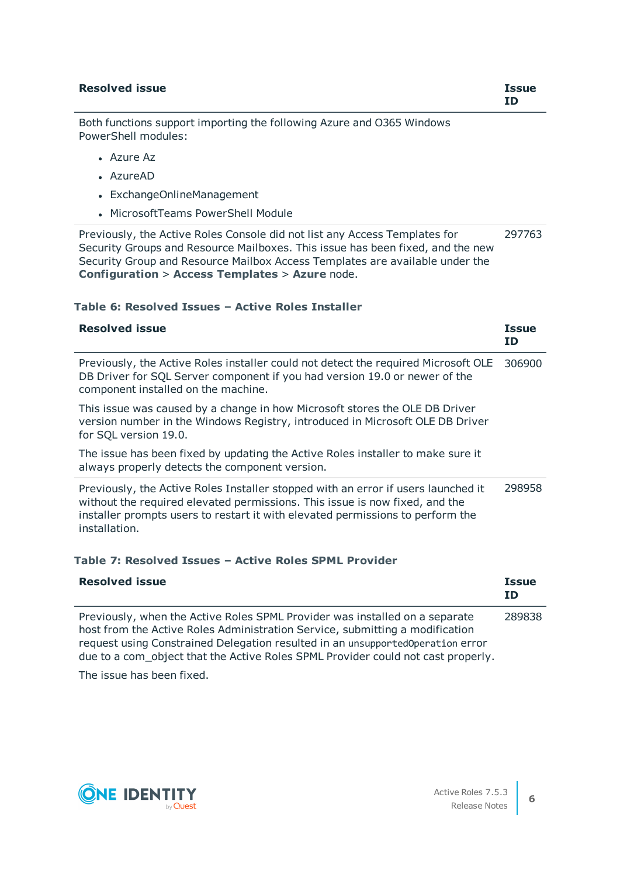| <b>Resolved issue</b>                                                                                                                                                                                                                                                                                       | <b>Issue</b><br><b>ID</b> |
|-------------------------------------------------------------------------------------------------------------------------------------------------------------------------------------------------------------------------------------------------------------------------------------------------------------|---------------------------|
| Both functions support importing the following Azure and O365 Windows<br>PowerShell modules:                                                                                                                                                                                                                |                           |
| • Azure Az                                                                                                                                                                                                                                                                                                  |                           |
| AzureAD                                                                                                                                                                                                                                                                                                     |                           |
| ExchangeOnlineManagement<br>$\bullet$                                                                                                                                                                                                                                                                       |                           |
| MicrosoftTeams PowerShell Module                                                                                                                                                                                                                                                                            |                           |
| Previously, the Active Roles Console did not list any Access Templates for<br>Security Groups and Resource Mailboxes. This issue has been fixed, and the new<br>Security Group and Resource Mailbox Access Templates are available under the<br><b>Configuration &gt; Access Templates &gt; Azure node.</b> | 297763                    |
| Table 6: Resolved Issues - Active Roles Installer                                                                                                                                                                                                                                                           |                           |
| <b>Resolved issue</b>                                                                                                                                                                                                                                                                                       | <b>Issue</b><br><b>ID</b> |
| Previously, the Active Roles installer could not detect the required Microsoft OLE<br>DB Driver for SQL Server component if you had version 19.0 or newer of the<br>component installed on the machine.                                                                                                     | 306900                    |
| This issue was caused by a change in how Microsoft stores the OLE DB Driver<br>version number in the Windows Registry, introduced in Microsoft OLE DB Driver<br>for SQL version 19.0.                                                                                                                       |                           |
| The issue has been fixed by updating the Active Roles installer to make sure it<br>always properly detects the component version.                                                                                                                                                                           |                           |
| Previously, the Active Roles Installer stopped with an error if users launched it<br>without the required elevated permissions. This issue is now fixed, and the<br>installer prompts users to restart it with elevated permissions to perform the<br>installation.                                         | 298958                    |
| Table 7: Resolved Issues - Active Roles SPML Provider                                                                                                                                                                                                                                                       |                           |
| <b>Resolved issue</b>                                                                                                                                                                                                                                                                                       | <b>Issue</b><br><b>ID</b> |
| Previously, when the Active Roles SPML Provider was installed on a separate<br>host from the Active Roles Administration Service, submitting a modification                                                                                                                                                 | 289838                    |

request using Constrained Delegation resulted in an unsupportedOperation error due to a com\_object that the Active Roles SPML Provider could not cast properly.

The issue has been fixed.

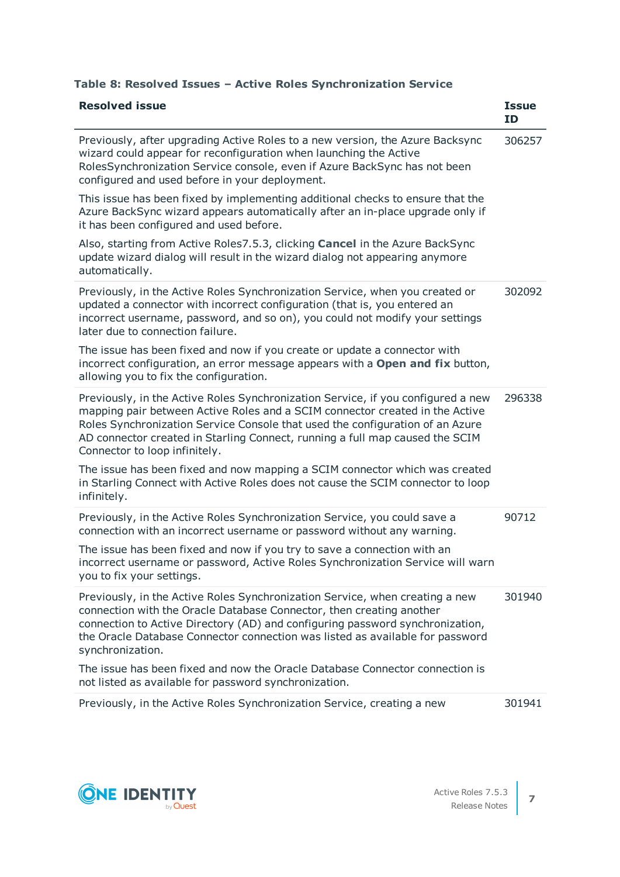| <b>Resolved issue</b>                                                                                                                                                                                                                                                                                                                                              | <b>Issue</b><br>ID |
|--------------------------------------------------------------------------------------------------------------------------------------------------------------------------------------------------------------------------------------------------------------------------------------------------------------------------------------------------------------------|--------------------|
| Previously, after upgrading Active Roles to a new version, the Azure Backsync<br>wizard could appear for reconfiguration when launching the Active<br>RolesSynchronization Service console, even if Azure BackSync has not been<br>configured and used before in your deployment.                                                                                  | 306257             |
| This issue has been fixed by implementing additional checks to ensure that the<br>Azure BackSync wizard appears automatically after an in-place upgrade only if<br>it has been configured and used before.                                                                                                                                                         |                    |
| Also, starting from Active Roles7.5.3, clicking Cancel in the Azure BackSync<br>update wizard dialog will result in the wizard dialog not appearing anymore<br>automatically.                                                                                                                                                                                      |                    |
| Previously, in the Active Roles Synchronization Service, when you created or<br>updated a connector with incorrect configuration (that is, you entered an<br>incorrect username, password, and so on), you could not modify your settings<br>later due to connection failure.                                                                                      | 302092             |
| The issue has been fixed and now if you create or update a connector with<br>incorrect configuration, an error message appears with a Open and fix button,<br>allowing you to fix the configuration.                                                                                                                                                               |                    |
| Previously, in the Active Roles Synchronization Service, if you configured a new<br>mapping pair between Active Roles and a SCIM connector created in the Active<br>Roles Synchronization Service Console that used the configuration of an Azure<br>AD connector created in Starling Connect, running a full map caused the SCIM<br>Connector to loop infinitely. | 296338             |
| The issue has been fixed and now mapping a SCIM connector which was created<br>in Starling Connect with Active Roles does not cause the SCIM connector to loop<br>infinitely.                                                                                                                                                                                      |                    |
| Previously, in the Active Roles Synchronization Service, you could save a<br>connection with an incorrect username or password without any warning.                                                                                                                                                                                                                | 90712              |
| The issue has been fixed and now if you try to save a connection with an<br>incorrect username or password, Active Roles Synchronization Service will warn<br>you to fix your settings.                                                                                                                                                                            |                    |
| Previously, in the Active Roles Synchronization Service, when creating a new<br>connection with the Oracle Database Connector, then creating another<br>connection to Active Directory (AD) and configuring password synchronization,<br>the Oracle Database Connector connection was listed as available for password<br>synchronization.                         | 301940             |
| The issue has been fixed and now the Oracle Database Connector connection is<br>not listed as available for password synchronization.                                                                                                                                                                                                                              |                    |
| Previously, in the Active Roles Synchronization Service, creating a new                                                                                                                                                                                                                                                                                            | 301941             |

### **Table 8: Resolved Issues – Active Roles Synchronization Service**

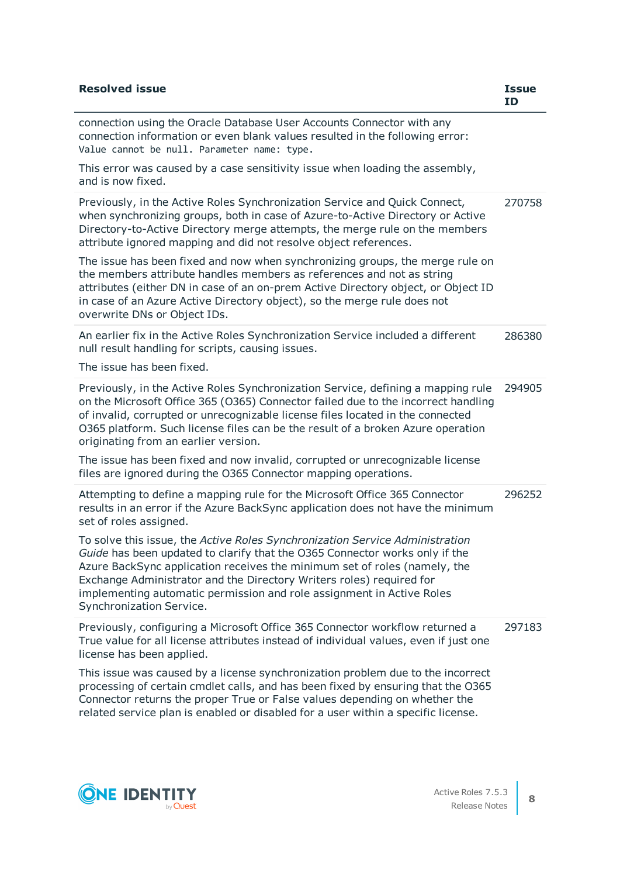| <b>Resolved issue</b>                                                                                                                                                                                                                                                                                                                                                                                                 | <b>Issue</b><br><b>ID</b> |
|-----------------------------------------------------------------------------------------------------------------------------------------------------------------------------------------------------------------------------------------------------------------------------------------------------------------------------------------------------------------------------------------------------------------------|---------------------------|
| connection using the Oracle Database User Accounts Connector with any<br>connection information or even blank values resulted in the following error:<br>Value cannot be null. Parameter name: type.                                                                                                                                                                                                                  |                           |
| This error was caused by a case sensitivity issue when loading the assembly,<br>and is now fixed.                                                                                                                                                                                                                                                                                                                     |                           |
| Previously, in the Active Roles Synchronization Service and Quick Connect,<br>when synchronizing groups, both in case of Azure-to-Active Directory or Active<br>Directory-to-Active Directory merge attempts, the merge rule on the members<br>attribute ignored mapping and did not resolve object references.                                                                                                       | 270758                    |
| The issue has been fixed and now when synchronizing groups, the merge rule on<br>the members attribute handles members as references and not as string<br>attributes (either DN in case of an on-prem Active Directory object, or Object ID<br>in case of an Azure Active Directory object), so the merge rule does not<br>overwrite DNs or Object IDs.                                                               |                           |
| An earlier fix in the Active Roles Synchronization Service included a different<br>null result handling for scripts, causing issues.                                                                                                                                                                                                                                                                                  | 286380                    |
| The issue has been fixed.                                                                                                                                                                                                                                                                                                                                                                                             |                           |
| Previously, in the Active Roles Synchronization Service, defining a mapping rule<br>on the Microsoft Office 365 (O365) Connector failed due to the incorrect handling<br>of invalid, corrupted or unrecognizable license files located in the connected<br>O365 platform. Such license files can be the result of a broken Azure operation<br>originating from an earlier version.                                    | 294905                    |
| The issue has been fixed and now invalid, corrupted or unrecognizable license<br>files are ignored during the O365 Connector mapping operations.                                                                                                                                                                                                                                                                      |                           |
| Attempting to define a mapping rule for the Microsoft Office 365 Connector<br>results in an error if the Azure BackSync application does not have the minimum<br>set of roles assigned.                                                                                                                                                                                                                               | 296252                    |
| To solve this issue, the Active Roles Synchronization Service Administration<br>Guide has been updated to clarify that the O365 Connector works only if the<br>Azure BackSync application receives the minimum set of roles (namely, the<br>Exchange Administrator and the Directory Writers roles) required for<br>implementing automatic permission and role assignment in Active Roles<br>Synchronization Service. |                           |
| Previously, configuring a Microsoft Office 365 Connector workflow returned a<br>True value for all license attributes instead of individual values, even if just one<br>license has been applied.                                                                                                                                                                                                                     | 297183                    |
| This issue was caused by a license synchronization problem due to the incorrect<br>processing of certain cmdlet calls, and has been fixed by ensuring that the O365                                                                                                                                                                                                                                                   |                           |

Connector returns the proper True or False values depending on whether the related service plan is enabled or disabled for a user within a specific license.

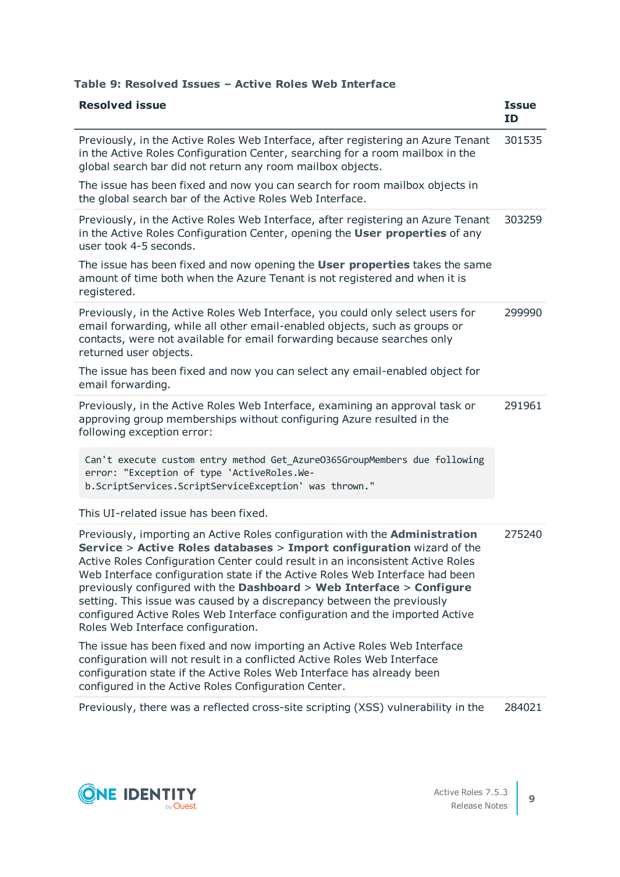| <b>Resolved issue</b>                                                                                                                                                                                                                                                                                                                                                                                                                                                                                                                                                                             | <b>Issue</b><br><b>ID</b> |
|---------------------------------------------------------------------------------------------------------------------------------------------------------------------------------------------------------------------------------------------------------------------------------------------------------------------------------------------------------------------------------------------------------------------------------------------------------------------------------------------------------------------------------------------------------------------------------------------------|---------------------------|
| Previously, in the Active Roles Web Interface, after registering an Azure Tenant<br>in the Active Roles Configuration Center, searching for a room mailbox in the<br>global search bar did not return any room mailbox objects.                                                                                                                                                                                                                                                                                                                                                                   | 301535                    |
| The issue has been fixed and now you can search for room mailbox objects in<br>the global search bar of the Active Roles Web Interface.                                                                                                                                                                                                                                                                                                                                                                                                                                                           |                           |
| Previously, in the Active Roles Web Interface, after registering an Azure Tenant<br>in the Active Roles Configuration Center, opening the User properties of any<br>user took 4-5 seconds.                                                                                                                                                                                                                                                                                                                                                                                                        | 303259                    |
| The issue has been fixed and now opening the User properties takes the same<br>amount of time both when the Azure Tenant is not registered and when it is<br>registered.                                                                                                                                                                                                                                                                                                                                                                                                                          |                           |
| Previously, in the Active Roles Web Interface, you could only select users for<br>email forwarding, while all other email-enabled objects, such as groups or<br>contacts, were not available for email forwarding because searches only<br>returned user objects.                                                                                                                                                                                                                                                                                                                                 | 299990                    |
| The issue has been fixed and now you can select any email-enabled object for<br>email forwarding.                                                                                                                                                                                                                                                                                                                                                                                                                                                                                                 |                           |
| Previously, in the Active Roles Web Interface, examining an approval task or<br>approving group memberships without configuring Azure resulted in the<br>following exception error:                                                                                                                                                                                                                                                                                                                                                                                                               | 291961                    |
| Can't execute custom entry method Get_Azure0365GroupMembers due following<br>error: "Exception of type 'ActiveRoles.We-<br>b.ScriptServices.ScriptServiceException' was thrown."                                                                                                                                                                                                                                                                                                                                                                                                                  |                           |
| This UI-related issue has been fixed.                                                                                                                                                                                                                                                                                                                                                                                                                                                                                                                                                             |                           |
| Previously, importing an Active Roles configuration with the Administration<br>Service > Active Roles databases > Import configuration wizard of the<br>Active Roles Configuration Center could result in an inconsistent Active Roles<br>Web Interface configuration state if the Active Roles Web Interface had been<br>previously configured with the Dashboard $>$ Web Interface $>$ Configure<br>setting. This issue was caused by a discrepancy between the previously<br>configured Active Roles Web Interface configuration and the imported Active<br>Roles Web Interface configuration. | 275240                    |
| The issue has been fixed and now importing an Active Roles Web Interface<br>configuration will not result in a conflicted Active Roles Web Interface<br>configuration state if the Active Roles Web Interface has already been<br>configured in the Active Roles Configuration Center.                                                                                                                                                                                                                                                                                                            |                           |
| Previously, there was a reflected cross-site scripting (XSS) vulnerability in the                                                                                                                                                                                                                                                                                                                                                                                                                                                                                                                 | 284021                    |

### **Table 9: Resolved Issues – Active Roles Web Interface**

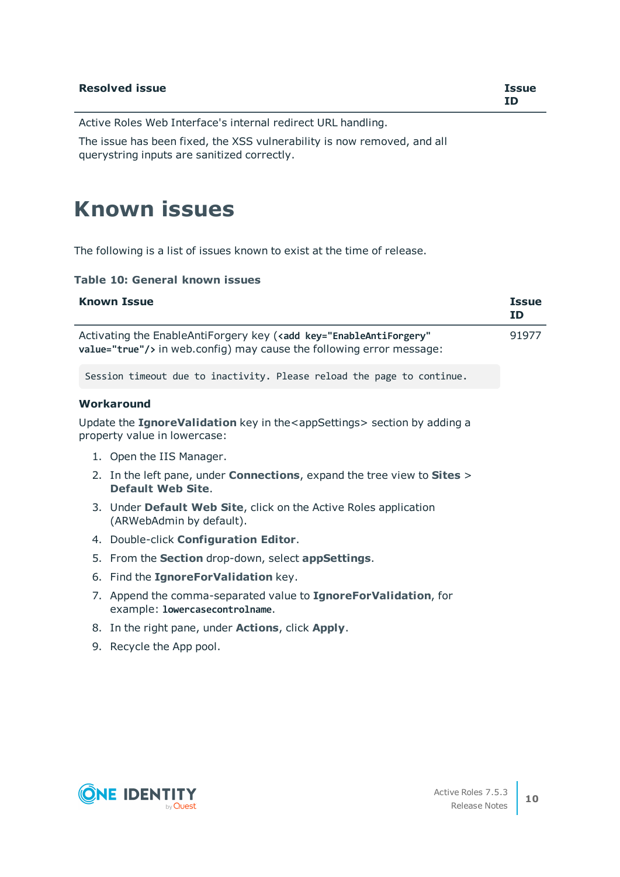| <b>Resolved issue</b>                                                                                                     | <b>Issue</b><br>ΙD |
|---------------------------------------------------------------------------------------------------------------------------|--------------------|
| the contract of the contract of the contract of the contract of the contract of the contract of the contract of<br>______ |                    |

Active Roles Web Interface's internal redirect URL handling.

The issue has been fixed, the XSS vulnerability is now removed, and all querystring inputs are sanitized correctly.

## **Known issues**

The following is a list of issues known to exist at the time of release.

### **Table 10: General known issues**

|    | <b>Known Issue</b>                                                                                                                                       | <b>Issue</b><br><b>ID</b> |
|----|----------------------------------------------------------------------------------------------------------------------------------------------------------|---------------------------|
|    | Activating the EnableAntiForgery key ( <add <br="" key="EnableAntiForgery">value="true"/&gt; in web.config) may cause the following error message:</add> | 91977                     |
|    | Session timeout due to inactivity. Please reload the page to continue.                                                                                   |                           |
|    | Workaround                                                                                                                                               |                           |
|    | Update the <b>IgnoreValidation</b> key in the <appsettings> section by adding a<br/>property value in lowercase:</appsettings>                           |                           |
|    | 1. Open the IIS Manager.                                                                                                                                 |                           |
|    | 2. In the left pane, under <b>Connections</b> , expand the tree view to <b>Sites</b> ><br><b>Default Web Site.</b>                                       |                           |
|    | 3. Under Default Web Site, click on the Active Roles application<br>(ARWebAdmin by default).                                                             |                           |
|    | 4. Double-click Configuration Editor.                                                                                                                    |                           |
| 5. | From the Section drop-down, select appSettings.                                                                                                          |                           |
|    | 6. Find the IgnoreForValidation key.                                                                                                                     |                           |
|    | 7. Append the comma-separated value to IgnoreForValidation, for<br>example: lowercasecontrolname.                                                        |                           |

- 8. In the right pane, under **Actions**, click **Apply**.
- 9. Recycle the App pool.

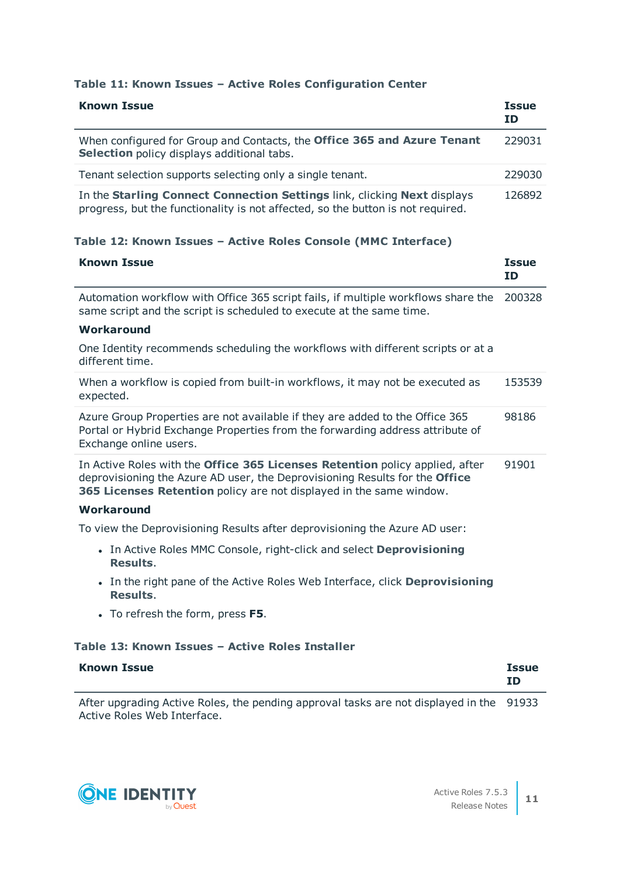### **Table 11: Known Issues – Active Roles Configuration Center**

| <b>Known Issue</b>                                                                                                                                          | <b>Issue</b><br><b>ID</b> |
|-------------------------------------------------------------------------------------------------------------------------------------------------------------|---------------------------|
| When configured for Group and Contacts, the Office 365 and Azure Tenant<br>Selection policy displays additional tabs.                                       | 229031                    |
| Tenant selection supports selecting only a single tenant.                                                                                                   | 229030                    |
| In the Starling Connect Connection Settings link, clicking Next displays<br>progress, but the functionality is not affected, so the button is not required. | 126892                    |

### **Table 12: Known Issues – Active Roles Console (MMC Interface)**

| <b>Known Issue</b>                                                                                                                                                                                                                        | <b>Issue</b><br><b>ID</b> |
|-------------------------------------------------------------------------------------------------------------------------------------------------------------------------------------------------------------------------------------------|---------------------------|
| Automation workflow with Office 365 script fails, if multiple workflows share the<br>same script and the script is scheduled to execute at the same time.                                                                                 | 200328                    |
| Workaround                                                                                                                                                                                                                                |                           |
| One Identity recommends scheduling the workflows with different scripts or at a<br>different time.                                                                                                                                        |                           |
| When a workflow is copied from built-in workflows, it may not be executed as<br>expected.                                                                                                                                                 | 153539                    |
| Azure Group Properties are not available if they are added to the Office 365<br>Portal or Hybrid Exchange Properties from the forwarding address attribute of<br>Exchange online users.                                                   | 98186                     |
| In Active Roles with the Office 365 Licenses Retention policy applied, after<br>deprovisioning the Azure AD user, the Deprovisioning Results for the <b>Office</b><br>365 Licenses Retention policy are not displayed in the same window. | 91901                     |
| Workaround                                                                                                                                                                                                                                |                           |
| To view the Deprovisioning Results after deprovisioning the Azure AD user:                                                                                                                                                                |                           |
| • In Active Roles MMC Console, right-click and select Deprovisioning<br>Results.                                                                                                                                                          |                           |
| In the right pane of the Active Roles Web Interface, click Deprovisioning<br>Results.                                                                                                                                                     |                           |

• To refresh the form, press F5.

### **Table 13: Known Issues – Active Roles Installer**

| <b>Known Issue</b>                                                                                      | Issue |
|---------------------------------------------------------------------------------------------------------|-------|
| ـ 01020 - مطلسة المورد العمالية علم من معامد المربوبون معتاد ومن مطلس معام 10 مرينة والمستوحين برمنة في |       |

After upgrading Active Roles, the pending approval tasks are not displayed in the 91933 Active Roles Web Interface.

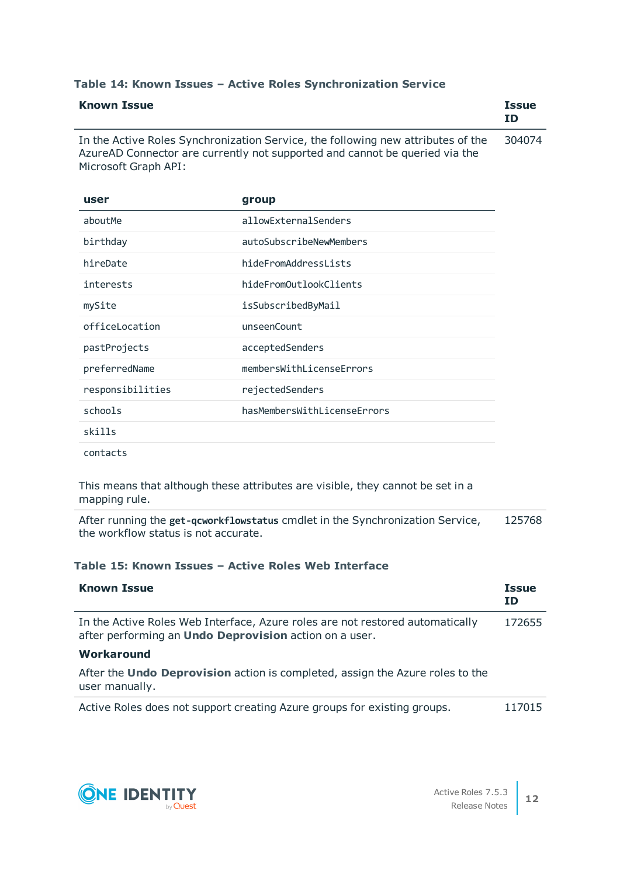### **Table 14: Known Issues – Active Roles Synchronization Service**

| <b>Known Issue</b>   |                                                                                                                                                                 | <b>Issue</b><br><b>ID</b> |
|----------------------|-----------------------------------------------------------------------------------------------------------------------------------------------------------------|---------------------------|
| Microsoft Graph API: | In the Active Roles Synchronization Service, the following new attributes of the<br>AzureAD Connector are currently not supported and cannot be queried via the | 304074                    |
| user                 | group                                                                                                                                                           |                           |
| aboutMe              | allowExternalSenders                                                                                                                                            |                           |
| birthday             | autoSubscribeNewMembers                                                                                                                                         |                           |
| hireDate             | hideFromAddressLists                                                                                                                                            |                           |
| interests            | hideFromOutlookClients                                                                                                                                          |                           |
| mySite               | isSubscribedByMail                                                                                                                                              |                           |
| officeLocation       | unseenCount                                                                                                                                                     |                           |
| pastProjects         | acceptedSenders                                                                                                                                                 |                           |
| preferredName        | membersWithLicenseErrors                                                                                                                                        |                           |
| responsibilities     | rejectedSenders                                                                                                                                                 |                           |
| schools              | hasMembersWithLicenseErrors                                                                                                                                     |                           |
| skills               |                                                                                                                                                                 |                           |
| contacts             |                                                                                                                                                                 |                           |

This means that although these attributes are visible, they cannot be set in a mapping rule.

After running the **get-qcworkflowstatus** cmdlet in the Synchronization Service, the workflow status is not accurate. 125768

### **Table 15: Known Issues – Active Roles Web Interface**

| <b>Known Issue</b>                                                                                                                             | <b>Issue</b><br>ΙD |
|------------------------------------------------------------------------------------------------------------------------------------------------|--------------------|
| In the Active Roles Web Interface, Azure roles are not restored automatically<br>after performing an <b>Undo Deprovision</b> action on a user. | 172655             |
| Workaround                                                                                                                                     |                    |
| After the <b>Undo Deprovision</b> action is completed, assign the Azure roles to the<br>user manually.                                         |                    |
| Active Roles does not support creating Azure groups for existing groups.                                                                       | 117015             |

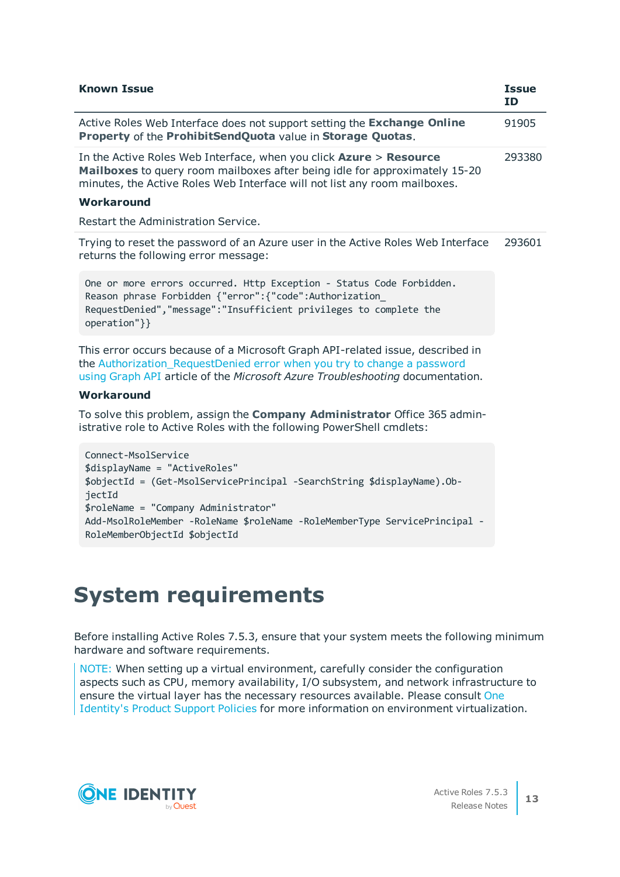| <b>Known Issue</b>                                                                                                                                                                                                                                                                                | <b>Issue</b><br><b>ID</b> |
|---------------------------------------------------------------------------------------------------------------------------------------------------------------------------------------------------------------------------------------------------------------------------------------------------|---------------------------|
| Active Roles Web Interface does not support setting the <b>Exchange Online</b><br>Property of the ProhibitSendQuota value in Storage Quotas.                                                                                                                                                      | 91905                     |
| In the Active Roles Web Interface, when you click Azure > Resource<br>Mailboxes to query room mailboxes after being idle for approximately 15-20<br>minutes, the Active Roles Web Interface will not list any room mailboxes.<br>Workaround<br>Restart the Administration Service.                | 293380                    |
| Trying to reset the password of an Azure user in the Active Roles Web Interface<br>returns the following error message:                                                                                                                                                                           | 293601                    |
| One or more errors occurred. Http Exception - Status Code Forbidden.<br>Reason phrase Forbidden {"error": {"code": Authorization<br>RequestDenied", "message": "Insufficient privileges to complete the<br>operation"}}                                                                           |                           |
| This error occurs because of a Microsoft Graph API-related issue, described in<br>the Authorization RequestDenied error when you try to change a password<br>using Graph API article of the Microsoft Azure Troubleshooting documentation.<br>Workaround                                          |                           |
| To solve this problem, assign the <b>Company Administrator</b> Office 365 admin-<br>istrative role to Active Roles with the following PowerShell cmdlets:                                                                                                                                         |                           |
| Connect-MsolService<br>\$displayName = "ActiveRoles"<br>\$objectId = (Get-MsolServicePrincipal -SearchString \$displayName). Ob-<br>jectId<br>\$roleName = "Company Administrator"<br>Add-MsolRoleMember -RoleName \$roleName -RoleMemberType ServicePrincipal -<br>RoleMemberObjectId \$objectId |                           |

# <span id="page-12-0"></span>**System requirements**

Before installing Active Roles 7.5.3, ensure that your system meets the following minimum hardware and software requirements.

NOTE: When setting up a virtual environment, carefully consider the configuration aspects such as CPU, memory availability, I/O subsystem, and network infrastructure to ensure the virtual layer has the necessary resources available. Please consult [One](https://support.oneidentity.com/essentials/support-guide#tab3) [Identity's](https://support.oneidentity.com/essentials/support-guide#tab3) Product Support Policies for more information on environment virtualization.

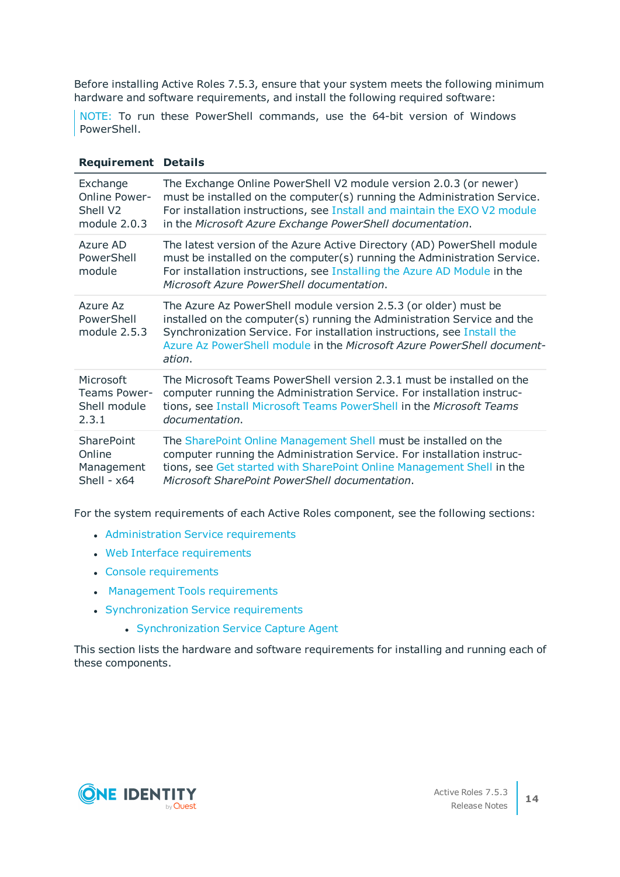Before installing Active Roles 7.5.3, ensure that your system meets the following minimum hardware and software requirements, and install the following required software:

NOTE: To run these PowerShell commands, use the 64-bit version of Windows PowerShell.

| Exchange                                 | The Exchange Online PowerShell V2 module version 2.0.3 (or newer)                                                                                                                                                                                                                                         |
|------------------------------------------|-----------------------------------------------------------------------------------------------------------------------------------------------------------------------------------------------------------------------------------------------------------------------------------------------------------|
| <b>Online Power-</b>                     | must be installed on the computer(s) running the Administration Service.                                                                                                                                                                                                                                  |
| Shell V <sub>2</sub>                     | For installation instructions, see Install and maintain the EXO V2 module                                                                                                                                                                                                                                 |
| module 2.0.3                             | in the Microsoft Azure Exchange PowerShell documentation.                                                                                                                                                                                                                                                 |
| Azure AD<br>PowerShell<br>module         | The latest version of the Azure Active Directory (AD) PowerShell module<br>must be installed on the computer(s) running the Administration Service.<br>For installation instructions, see Installing the Azure AD Module in the<br>Microsoft Azure PowerShell documentation.                              |
| Azure Az<br>PowerShell<br>module $2.5.3$ | The Azure Az PowerShell module version 2.5.3 (or older) must be<br>installed on the computer(s) running the Administration Service and the<br>Synchronization Service. For installation instructions, see Install the<br>Azure Az PowerShell module in the Microsoft Azure PowerShell document-<br>ation. |
| Microsoft                                | The Microsoft Teams PowerShell version 2.3.1 must be installed on the                                                                                                                                                                                                                                     |
| Teams Power-                             | computer running the Administration Service. For installation instruc-                                                                                                                                                                                                                                    |
| Shell module                             | tions, see Install Microsoft Teams PowerShell in the Microsoft Teams                                                                                                                                                                                                                                      |
| 2.3.1                                    | documentation.                                                                                                                                                                                                                                                                                            |
| <b>SharePoint</b>                        | The SharePoint Online Management Shell must be installed on the                                                                                                                                                                                                                                           |
| Online                                   | computer running the Administration Service. For installation instruc-                                                                                                                                                                                                                                    |
| Management                               | tions, see Get started with SharePoint Online Management Shell in the                                                                                                                                                                                                                                     |
| Shell - $x64$                            | Microsoft SharePoint PowerShell documentation.                                                                                                                                                                                                                                                            |

### **Requirement Details**

For the system requirements of each Active Roles component, see the following sections:

- [Administration](#page-15-0) Service requirements
- Web Interface [requirements](#page-16-0)
- Console [requirements](#page-18-0)
- Management Tools [requirements](#page-18-1)
- **.** [Synchronization](#page-19-0) Service requirements
	- **.** [Synchronization](#page-20-0) Service Capture Agent

This section lists the hardware and software requirements for installing and running each of these components.

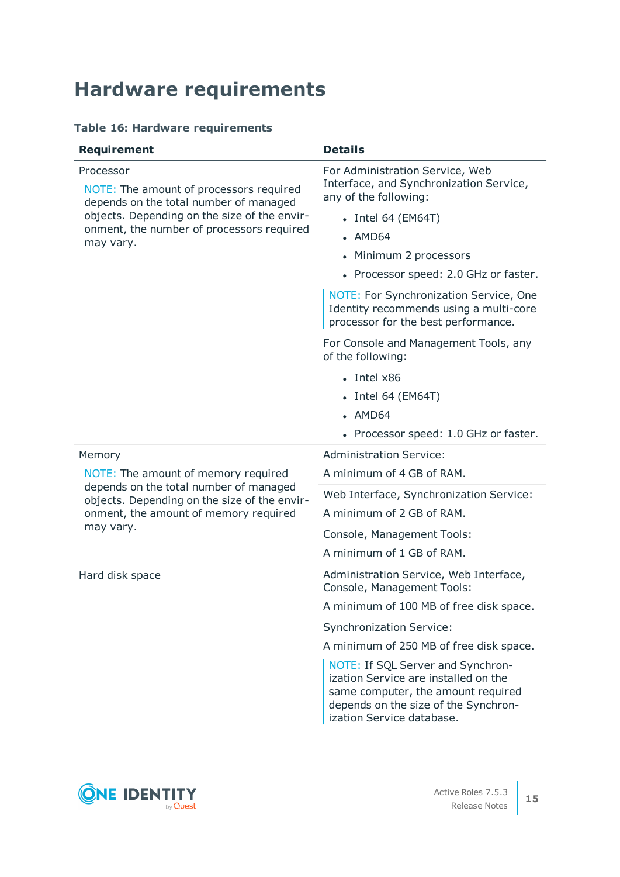# **Hardware requirements**

### **Table 16: Hardware requirements**

| <b>Requirement</b>                                                                             | <b>Details</b>                                                                                                                                                                       |  |
|------------------------------------------------------------------------------------------------|--------------------------------------------------------------------------------------------------------------------------------------------------------------------------------------|--|
| Processor<br>NOTE: The amount of processors required<br>depends on the total number of managed | For Administration Service, Web<br>Interface, and Synchronization Service,<br>any of the following:                                                                                  |  |
| objects. Depending on the size of the envir-                                                   | $\bullet$ Intel 64 (EM64T)                                                                                                                                                           |  |
| onment, the number of processors required<br>may vary.                                         | • AMD64                                                                                                                                                                              |  |
|                                                                                                | Minimum 2 processors                                                                                                                                                                 |  |
|                                                                                                | • Processor speed: 2.0 GHz or faster.                                                                                                                                                |  |
|                                                                                                | NOTE: For Synchronization Service, One<br>Identity recommends using a multi-core<br>processor for the best performance.                                                              |  |
|                                                                                                | For Console and Management Tools, any<br>of the following:                                                                                                                           |  |
|                                                                                                | $\bullet$ Intel $x86$                                                                                                                                                                |  |
|                                                                                                | $\bullet$ Intel 64 (EM64T)                                                                                                                                                           |  |
|                                                                                                | $\bullet$ AMD64                                                                                                                                                                      |  |
|                                                                                                | • Processor speed: 1.0 GHz or faster.                                                                                                                                                |  |
| Memory                                                                                         | <b>Administration Service:</b>                                                                                                                                                       |  |
| NOTE: The amount of memory required                                                            | A minimum of 4 GB of RAM.                                                                                                                                                            |  |
| depends on the total number of managed<br>objects. Depending on the size of the envir-         | Web Interface, Synchronization Service:                                                                                                                                              |  |
| onment, the amount of memory required                                                          | A minimum of 2 GB of RAM.                                                                                                                                                            |  |
| may vary.                                                                                      | Console, Management Tools:                                                                                                                                                           |  |
|                                                                                                | A minimum of 1 GB of RAM.                                                                                                                                                            |  |
| Hard disk space                                                                                | Administration Service, Web Interface,<br>Console, Management Tools:                                                                                                                 |  |
|                                                                                                | A minimum of 100 MB of free disk space.                                                                                                                                              |  |
|                                                                                                | <b>Synchronization Service:</b>                                                                                                                                                      |  |
|                                                                                                | A minimum of 250 MB of free disk space.                                                                                                                                              |  |
|                                                                                                | NOTE: If SQL Server and Synchron-<br>ization Service are installed on the<br>same computer, the amount required<br>depends on the size of the Synchron-<br>ization Service database. |  |

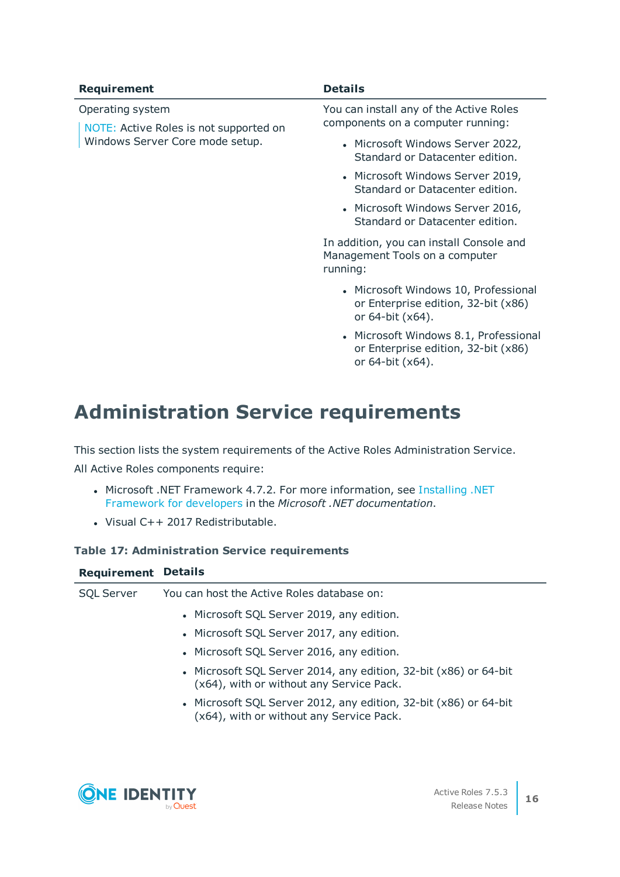| <b>Requirement</b>                                         | <b>Details</b>                                                                                   |
|------------------------------------------------------------|--------------------------------------------------------------------------------------------------|
| Operating system<br>NOTE: Active Roles is not supported on | You can install any of the Active Roles<br>components on a computer running:                     |
| Windows Server Core mode setup.                            | • Microsoft Windows Server 2022,<br>Standard or Datacenter edition.                              |
|                                                            | • Microsoft Windows Server 2019,<br>Standard or Datacenter edition.                              |
|                                                            | • Microsoft Windows Server 2016,<br>Standard or Datacenter edition.                              |
|                                                            | In addition, you can install Console and<br>Management Tools on a computer<br>running:           |
|                                                            | • Microsoft Windows 10, Professional<br>or Enterprise edition, 32-bit (x86)<br>or 64-bit (x64).  |
|                                                            | • Microsoft Windows 8.1, Professional<br>or Enterprise edition, 32-bit (x86)<br>or 64-bit (x64). |

### <span id="page-15-0"></span>**Administration Service requirements**

This section lists the system requirements of the Active Roles Administration Service.

All Active Roles components require:

- . Microsoft .NET Framework 4.7.2. For more information, see [Installing](https://docs.microsoft.com/en-us/dotnet/framework/install/guide-for-developers?redirectedfrom=MSDN) .NET [Framework](https://docs.microsoft.com/en-us/dotnet/framework/install/guide-for-developers?redirectedfrom=MSDN) for developers in the *Microsoft .NET documentation*.
- $\cdot$  Visual C++ 2017 Redistributable.

### **Table 17: Administration Service requirements**

| <b>Requirement Details</b> |                                                                                                              |
|----------------------------|--------------------------------------------------------------------------------------------------------------|
| <b>SQL Server</b>          | You can host the Active Roles database on:                                                                   |
|                            | • Microsoft SQL Server 2019, any edition.                                                                    |
|                            | • Microsoft SQL Server 2017, any edition.                                                                    |
|                            | • Microsoft SQL Server 2016, any edition.                                                                    |
|                            | • Microsoft SQL Server 2014, any edition, 32-bit (x86) or 64-bit<br>(x64), with or without any Service Pack. |
|                            | • Microsoft SQL Server 2012, any edition, 32-bit (x86) or 64-bit<br>(x64), with or without any Service Pack. |
|                            |                                                                                                              |

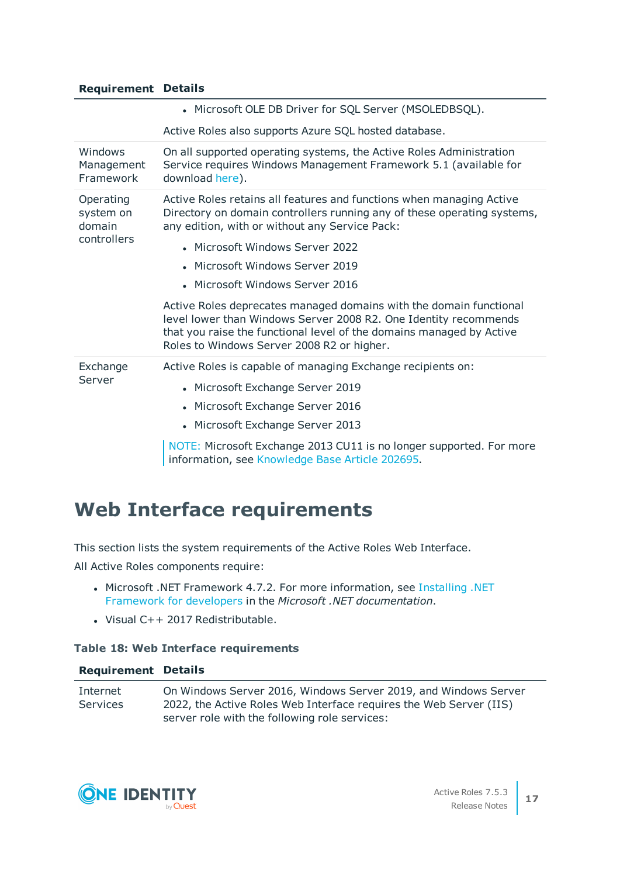### **Requirement Details**

|                                    | • Microsoft OLE DB Driver for SQL Server (MSOLEDBSQL).                                                                                                                                                                                                       |
|------------------------------------|--------------------------------------------------------------------------------------------------------------------------------------------------------------------------------------------------------------------------------------------------------------|
|                                    | Active Roles also supports Azure SQL hosted database.                                                                                                                                                                                                        |
| Windows<br>Management<br>Framework | On all supported operating systems, the Active Roles Administration<br>Service requires Windows Management Framework 5.1 (available for<br>download here).                                                                                                   |
| Operating<br>system on<br>domain   | Active Roles retains all features and functions when managing Active<br>Directory on domain controllers running any of these operating systems,<br>any edition, with or without any Service Pack:                                                            |
| controllers                        | • Microsoft Windows Server 2022                                                                                                                                                                                                                              |
|                                    | • Microsoft Windows Server 2019                                                                                                                                                                                                                              |
|                                    | • Microsoft Windows Server 2016                                                                                                                                                                                                                              |
|                                    | Active Roles deprecates managed domains with the domain functional<br>level lower than Windows Server 2008 R2. One Identity recommends<br>that you raise the functional level of the domains managed by Active<br>Roles to Windows Server 2008 R2 or higher. |
| Exchange<br>Server                 | Active Roles is capable of managing Exchange recipients on:                                                                                                                                                                                                  |
|                                    | • Microsoft Exchange Server 2019                                                                                                                                                                                                                             |
|                                    | • Microsoft Exchange Server 2016                                                                                                                                                                                                                             |
|                                    | • Microsoft Exchange Server 2013                                                                                                                                                                                                                             |
|                                    | NOTE: Microsoft Exchange 2013 CU11 is no longer supported. For more<br>information, see Knowledge Base Article 202695.                                                                                                                                       |

### <span id="page-16-0"></span>**Web Interface requirements**

This section lists the system requirements of the Active Roles Web Interface.

All Active Roles components require:

- . Microsoft .NET Framework 4.7.2. For more information, see [Installing](https://docs.microsoft.com/en-us/dotnet/framework/install/guide-for-developers?redirectedfrom=MSDN) .NET [Framework](https://docs.microsoft.com/en-us/dotnet/framework/install/guide-for-developers?redirectedfrom=MSDN) for developers in the *Microsoft .NET documentation*.
- $\cdot$  Visual C++ 2017 Redistributable.

### **Table 18: Web Interface requirements**

#### **Requirement Details**

| Internet | On Windows Server 2016, Windows Server 2019, and Windows Server    |
|----------|--------------------------------------------------------------------|
| Services | 2022, the Active Roles Web Interface requires the Web Server (IIS) |
|          | server role with the following role services:                      |

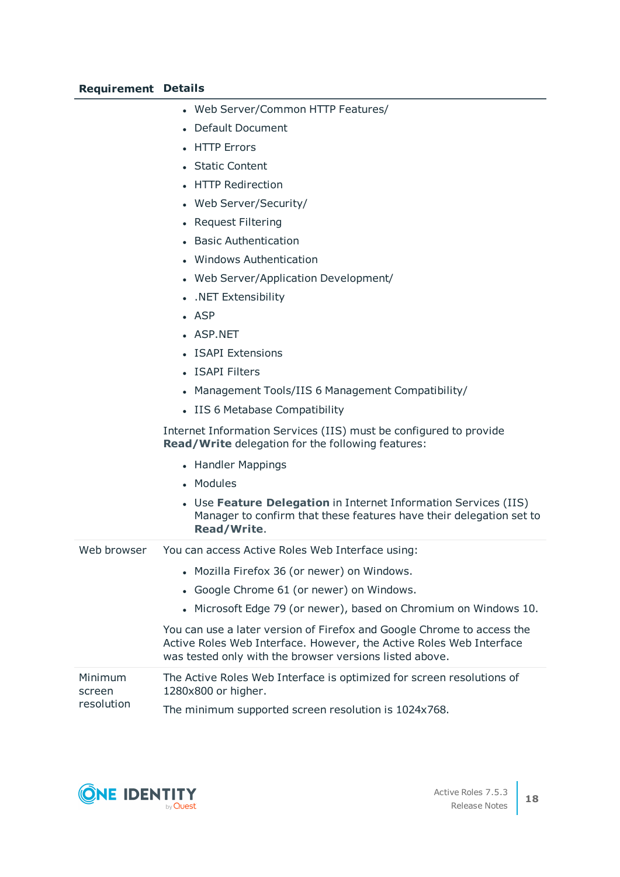### **Requirement Details**

- Web Server/Common HTTP Features/
- Default Document
- **.** HTTP Frrors
- Static Content
- HTTP Redirection
- Web Server/Security/
- Request Filtering
- **.** Basic Authentication
- Windows Authentication
- Web Server/Application Development/
- . .NET Extensibility
- $ASP$
- <sup>l</sup> ASP.NET
- **.** ISAPI Extensions
- **.** ISAPI Filters
- Management Tools/IIS 6 Management Compatibility/
- IIS 6 Metabase Compatibility

Internet Information Services (IIS) must be configured to provide **Read/Write** delegation for the following features:

- Handler Mappings
- Modules
- <sup>l</sup> Use **Feature Delegation** in Internet Information Services (IIS) Manager to confirm that these features have their delegation set to **Read/Write**.

Web browser You can access Active Roles Web Interface using:

- Mozilla Firefox 36 (or newer) on Windows.
	- Google Chrome 61 (or newer) on Windows.
	- Microsoft Edge 79 (or newer), based on Chromium on Windows 10.

You can use a later version of Firefox and Google Chrome to access the Active Roles Web Interface. However, the Active Roles Web Interface was tested only with the browser versions listed above.

- Minimum screen resolution The Active Roles Web Interface is optimized for screen resolutions of 1280x800 or higher.
- The minimum supported screen resolution is 1024x768.

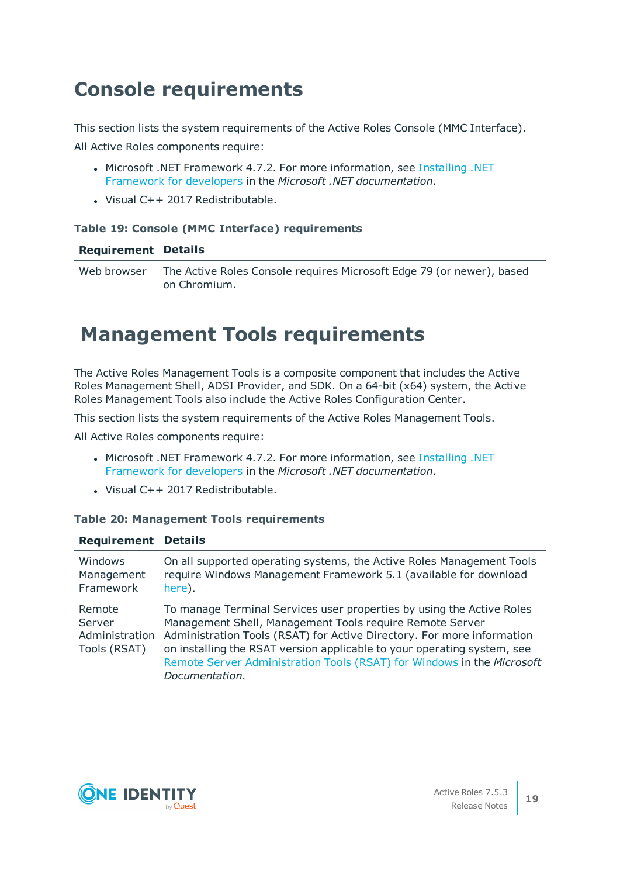## <span id="page-18-0"></span>**Console requirements**

This section lists the system requirements of the Active Roles Console (MMC Interface). All Active Roles components require:

- . Microsoft .NET Framework 4.7.2. For more information, see [Installing](https://docs.microsoft.com/en-us/dotnet/framework/install/guide-for-developers?redirectedfrom=MSDN) .NET [Framework](https://docs.microsoft.com/en-us/dotnet/framework/install/guide-for-developers?redirectedfrom=MSDN) for developers in the *Microsoft .NET documentation*.
- $\bullet$  Visual C++ 2017 Redistributable.

### **Table 19: Console (MMC Interface) requirements**

### **Requirement Details**

Web browser The Active Roles Console requires Microsoft Edge 79 (or newer), based on Chromium.

### <span id="page-18-1"></span>**Management Tools requirements**

The Active Roles Management Tools is a composite component that includes the Active Roles Management Shell, ADSI Provider, and SDK. On a 64-bit (x64) system, the Active Roles Management Tools also include the Active Roles Configuration Center.

This section lists the system requirements of the Active Roles Management Tools.

All Active Roles components require:

- . Microsoft .NET Framework 4.7.2. For more information, see [Installing](https://docs.microsoft.com/en-us/dotnet/framework/install/guide-for-developers?redirectedfrom=MSDN) .NET [Framework](https://docs.microsoft.com/en-us/dotnet/framework/install/guide-for-developers?redirectedfrom=MSDN) for developers in the *Microsoft .NET documentation*.
- $\cdot$  Visual C++ 2017 Redistributable.

### **Table 20: Management Tools requirements**

| <b>Requirement Details</b> |  |
|----------------------------|--|
|----------------------------|--|

| Windows                                            | On all supported operating systems, the Active Roles Management Tools                                                                                                                                                                                                                                                                                                              |
|----------------------------------------------------|------------------------------------------------------------------------------------------------------------------------------------------------------------------------------------------------------------------------------------------------------------------------------------------------------------------------------------------------------------------------------------|
| Management                                         | require Windows Management Framework 5.1 (available for download                                                                                                                                                                                                                                                                                                                   |
| Framework                                          | here).                                                                                                                                                                                                                                                                                                                                                                             |
| Remote<br>Server<br>Administration<br>Tools (RSAT) | To manage Terminal Services user properties by using the Active Roles<br>Management Shell, Management Tools require Remote Server<br>Administration Tools (RSAT) for Active Directory. For more information<br>on installing the RSAT version applicable to your operating system, see<br>Remote Server Administration Tools (RSAT) for Windows in the Microsoft<br>Documentation. |

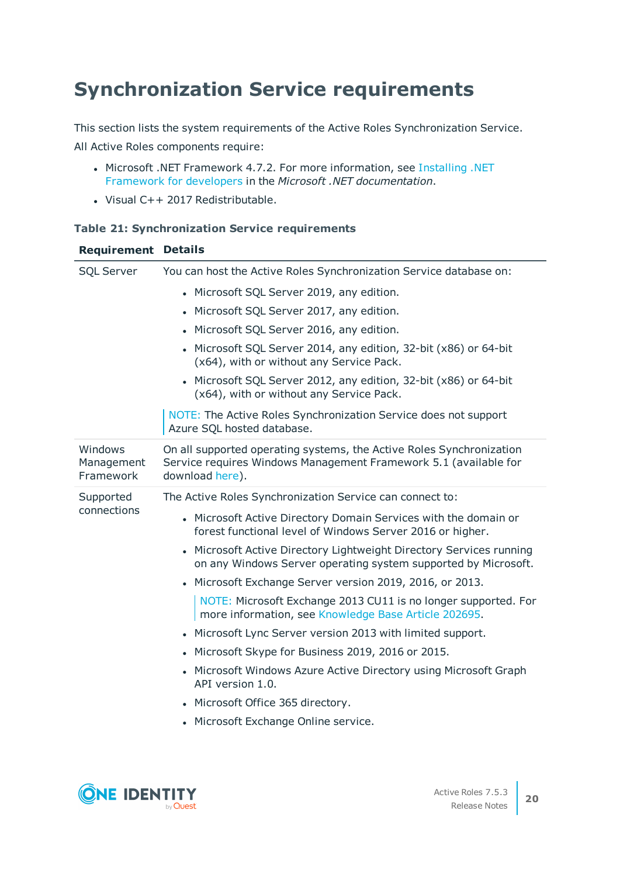## <span id="page-19-0"></span>**Synchronization Service requirements**

This section lists the system requirements of the Active Roles Synchronization Service. All Active Roles components require:

- . Microsoft .NET Framework 4.7.2. For more information, see [Installing](https://docs.microsoft.com/en-us/dotnet/framework/install/guide-for-developers?redirectedfrom=MSDN) .NET [Framework](https://docs.microsoft.com/en-us/dotnet/framework/install/guide-for-developers?redirectedfrom=MSDN) for developers in the *Microsoft .NET documentation*.
- $\cdot$  Visual C++ 2017 Redistributable.

| <b>Requirement Details</b>         |                                                                                                                                                             |  |  |
|------------------------------------|-------------------------------------------------------------------------------------------------------------------------------------------------------------|--|--|
| <b>SQL Server</b>                  | You can host the Active Roles Synchronization Service database on:                                                                                          |  |  |
|                                    | • Microsoft SQL Server 2019, any edition.                                                                                                                   |  |  |
|                                    | • Microsoft SQL Server 2017, any edition.                                                                                                                   |  |  |
|                                    | • Microsoft SQL Server 2016, any edition.                                                                                                                   |  |  |
|                                    | • Microsoft SQL Server 2014, any edition, 32-bit (x86) or 64-bit<br>(x64), with or without any Service Pack.                                                |  |  |
|                                    | • Microsoft SQL Server 2012, any edition, 32-bit (x86) or 64-bit<br>(x64), with or without any Service Pack.                                                |  |  |
|                                    | NOTE: The Active Roles Synchronization Service does not support<br>Azure SQL hosted database.                                                               |  |  |
| Windows<br>Management<br>Framework | On all supported operating systems, the Active Roles Synchronization<br>Service requires Windows Management Framework 5.1 (available for<br>download here). |  |  |
| Supported<br>connections           | The Active Roles Synchronization Service can connect to:                                                                                                    |  |  |
|                                    | • Microsoft Active Directory Domain Services with the domain or<br>forest functional level of Windows Server 2016 or higher.                                |  |  |
|                                    | Microsoft Active Directory Lightweight Directory Services running<br>on any Windows Server operating system supported by Microsoft.                         |  |  |
|                                    | • Microsoft Exchange Server version 2019, 2016, or 2013.                                                                                                    |  |  |
|                                    | NOTE: Microsoft Exchange 2013 CU11 is no longer supported. For<br>more information, see Knowledge Base Article 202695.                                      |  |  |
|                                    | • Microsoft Lync Server version 2013 with limited support.                                                                                                  |  |  |
|                                    | Microsoft Skype for Business 2019, 2016 or 2015.                                                                                                            |  |  |
|                                    | • Microsoft Windows Azure Active Directory using Microsoft Graph<br>API version 1.0.                                                                        |  |  |
|                                    | Microsoft Office 365 directory.                                                                                                                             |  |  |
|                                    | • Microsoft Exchange Online service.                                                                                                                        |  |  |

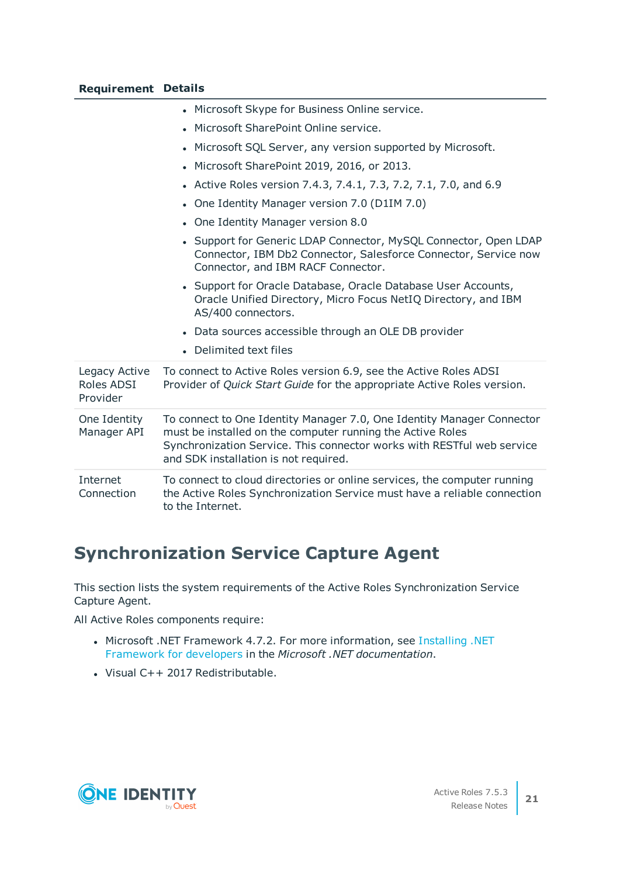### **Requirement Details**

|                                         | • Microsoft Skype for Business Online service.                                                                                                                                                                                                          |  |
|-----------------------------------------|---------------------------------------------------------------------------------------------------------------------------------------------------------------------------------------------------------------------------------------------------------|--|
|                                         | • Microsoft SharePoint Online service.                                                                                                                                                                                                                  |  |
|                                         | • Microsoft SQL Server, any version supported by Microsoft.                                                                                                                                                                                             |  |
|                                         | • Microsoft SharePoint 2019, 2016, or 2013.                                                                                                                                                                                                             |  |
|                                         | • Active Roles version 7.4.3, 7.4.1, 7.3, 7.2, 7.1, 7.0, and 6.9                                                                                                                                                                                        |  |
|                                         | • One Identity Manager version 7.0 (D1IM 7.0)                                                                                                                                                                                                           |  |
|                                         | • One Identity Manager version 8.0                                                                                                                                                                                                                      |  |
|                                         | • Support for Generic LDAP Connector, MySQL Connector, Open LDAP<br>Connector, IBM Db2 Connector, Salesforce Connector, Service now<br>Connector, and IBM RACF Connector.                                                                               |  |
|                                         | • Support for Oracle Database, Oracle Database User Accounts,<br>Oracle Unified Directory, Micro Focus NetIQ Directory, and IBM<br>AS/400 connectors.                                                                                                   |  |
|                                         | • Data sources accessible through an OLE DB provider                                                                                                                                                                                                    |  |
|                                         | • Delimited text files                                                                                                                                                                                                                                  |  |
| Legacy Active<br>Roles ADSI<br>Provider | To connect to Active Roles version 6.9, see the Active Roles ADSI<br>Provider of Quick Start Guide for the appropriate Active Roles version.                                                                                                            |  |
| One Identity<br>Manager API             | To connect to One Identity Manager 7.0, One Identity Manager Connector<br>must be installed on the computer running the Active Roles<br>Synchronization Service. This connector works with RESTful web service<br>and SDK installation is not required. |  |
| Internet<br>Connection                  | To connect to cloud directories or online services, the computer running<br>the Active Roles Synchronization Service must have a reliable connection<br>to the Internet.                                                                                |  |

### <span id="page-20-0"></span>**Synchronization Service Capture Agent**

This section lists the system requirements of the Active Roles Synchronization Service Capture Agent.

All Active Roles components require:

- . Microsoft .NET Framework 4.7.2. For more information, see [Installing](https://docs.microsoft.com/en-us/dotnet/framework/install/guide-for-developers?redirectedfrom=MSDN) .NET [Framework](https://docs.microsoft.com/en-us/dotnet/framework/install/guide-for-developers?redirectedfrom=MSDN) for developers in the *Microsoft .NET documentation*.
- $\cdot$  Visual C++ 2017 Redistributable.

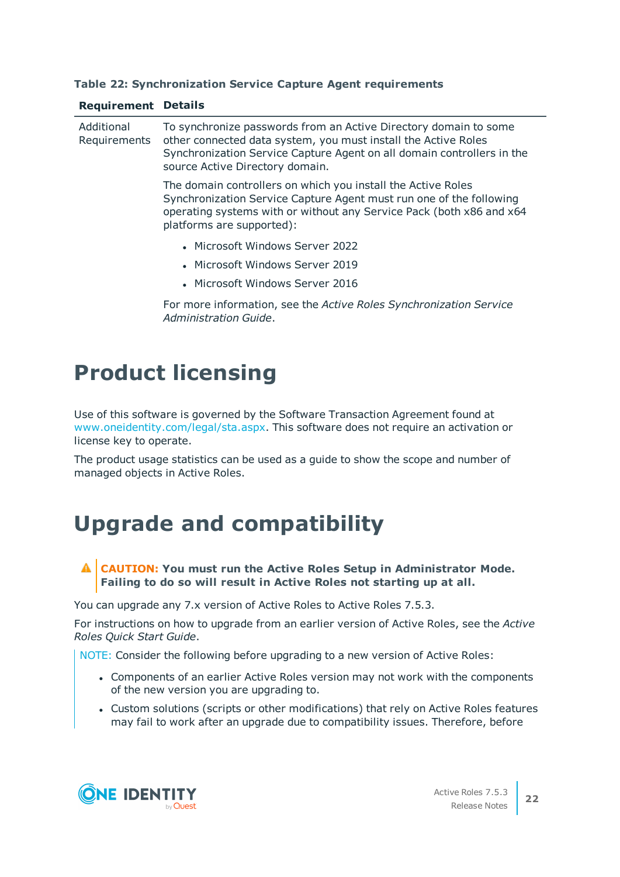### **Table 22: Synchronization Service Capture Agent requirements**

#### **Requirement Details**

| Additional<br>Requirements | To synchronize passwords from an Active Directory domain to some<br>other connected data system, you must install the Active Roles<br>Synchronization Service Capture Agent on all domain controllers in the<br>source Active Directory domain. |
|----------------------------|-------------------------------------------------------------------------------------------------------------------------------------------------------------------------------------------------------------------------------------------------|
|                            | The domain controllers on which you install the Active Roles<br>Synchronization Service Capture Agent must run one of the following<br>operating systems with or without any Service Pack (both x86 and x64<br>platforms are supported):        |
|                            | • Microsoft Windows Server 2022                                                                                                                                                                                                                 |
|                            | • Microsoft Windows Server 2019                                                                                                                                                                                                                 |
|                            | • Microsoft Windows Server 2016                                                                                                                                                                                                                 |
|                            | For more information, see the Active Roles Synchronization Service<br>Administration Guide.                                                                                                                                                     |

### **Product licensing**

Use of this software is governed by the Software Transaction Agreement found at [www.oneidentity.com/legal/sta.aspx](http://www.oneidentity.com/legal/sta.aspx). This software does not require an activation or license key to operate.

The product usage statistics can be used as a guide to show the scope and number of managed objects in Active Roles.

### **Upgrade and compatibility**

**CAUTION: You must run the Active Roles Setup in Administrator Mode. Failing to do so will result in Active Roles not starting up at all.**

You can upgrade any 7.x version of Active Roles to Active Roles 7.5.3.

For instructions on how to upgrade from an earlier version of Active Roles, see the *Active Roles Quick Start Guide*.

NOTE: Consider the following before upgrading to a new version of Active Roles:

- Components of an earlier Active Roles version may not work with the components of the new version you are upgrading to.
- Custom solutions (scripts or other modifications) that rely on Active Roles features may fail to work after an upgrade due to compatibility issues. Therefore, before

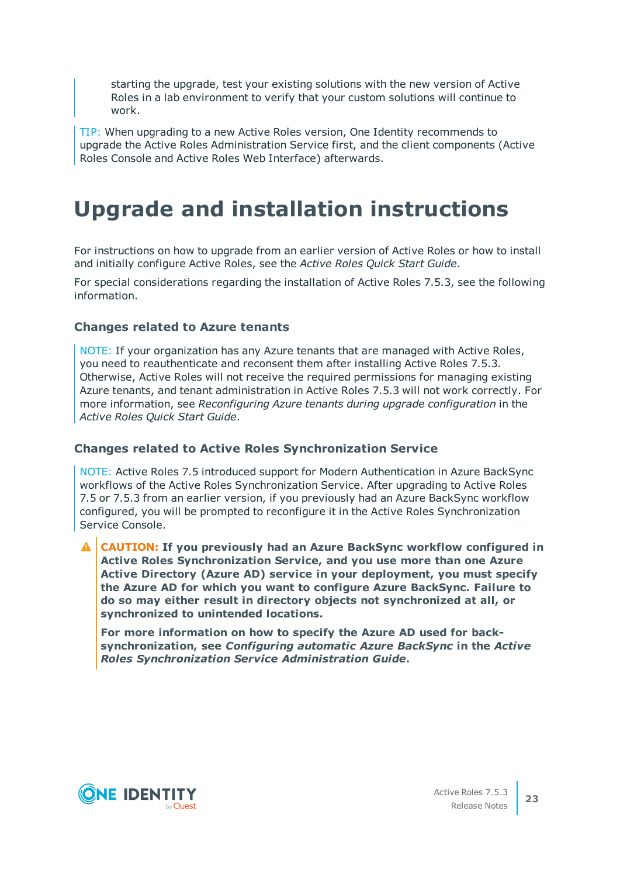starting the upgrade, test your existing solutions with the new version of Active Roles in a lab environment to verify that your custom solutions will continue to work.

TIP: When upgrading to a new Active Roles version, One Identity recommends to upgrade the Active Roles Administration Service first, and the client components (Active Roles Console and Active Roles Web Interface) afterwards.

# **Upgrade and installation instructions**

For instructions on how to upgrade from an earlier version of Active Roles or how to install and initially configure Active Roles, see the *Active Roles Quick Start Guide*.

For special considerations regarding the installation of Active Roles 7.5.3, see the following information.

### **Changes related to Azure tenants**

NOTE: If your organization has any Azure tenants that are managed with Active Roles, you need to reauthenticate and reconsent them after installing Active Roles 7.5.3. Otherwise, Active Roles will not receive the required permissions for managing existing Azure tenants, and tenant administration in Active Roles 7.5.3 will not work correctly. For more information, see *Reconfiguring Azure tenants during upgrade configuration* in the *Active Roles Quick Start Guide*.

### **Changes related to Active Roles Synchronization Service**

NOTE: Active Roles 7.5 introduced support for Modern Authentication in Azure BackSync workflows of the Active Roles Synchronization Service. After upgrading to Active Roles 7.5 or 7.5.3 from an earlier version, if you previously had an Azure BackSync workflow configured, you will be prompted to reconfigure it in the Active Roles Synchronization Service Console.

**CAUTION: If you previously had an Azure BackSync workflow configured in Active Roles Synchronization Service, and you use more than one Azure Active Directory (Azure AD) service in your deployment, you must specify the Azure AD for which you want to configure Azure BackSync. Failure to do so may either result in directory objects not synchronized at all, or synchronized to unintended locations.**

**For more information on how to specify the Azure AD used for backsynchronization, see** *Configuring automatic Azure BackSync* **in the** *Active Roles Synchronization Service Administration Guide***.**

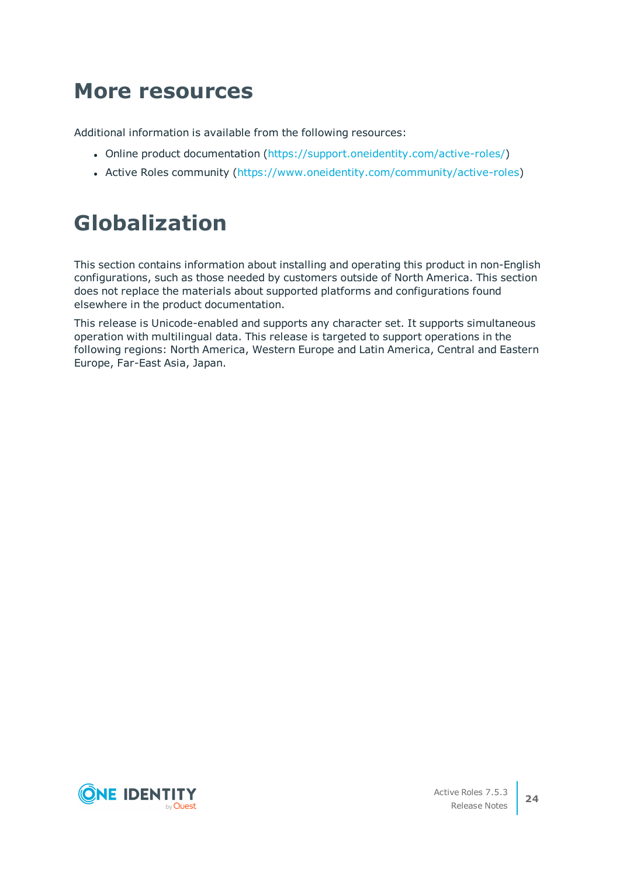# **More resources**

Additional information is available from the following resources:

- Online product documentation [\(https://support.oneidentity.com/active-roles/](https://support.oneidentity.com/active-roles/))
- Active Roles community [\(https://www.oneidentity.com/community/active-roles\)](https://www.oneidentity.com/community/active-roles)

# **Globalization**

This section contains information about installing and operating this product in non-English configurations, such as those needed by customers outside of North America. This section does not replace the materials about supported platforms and configurations found elsewhere in the product documentation.

This release is Unicode-enabled and supports any character set. It supports simultaneous operation with multilingual data. This release is targeted to support operations in the following regions: North America, Western Europe and Latin America, Central and Eastern Europe, Far-East Asia, Japan.

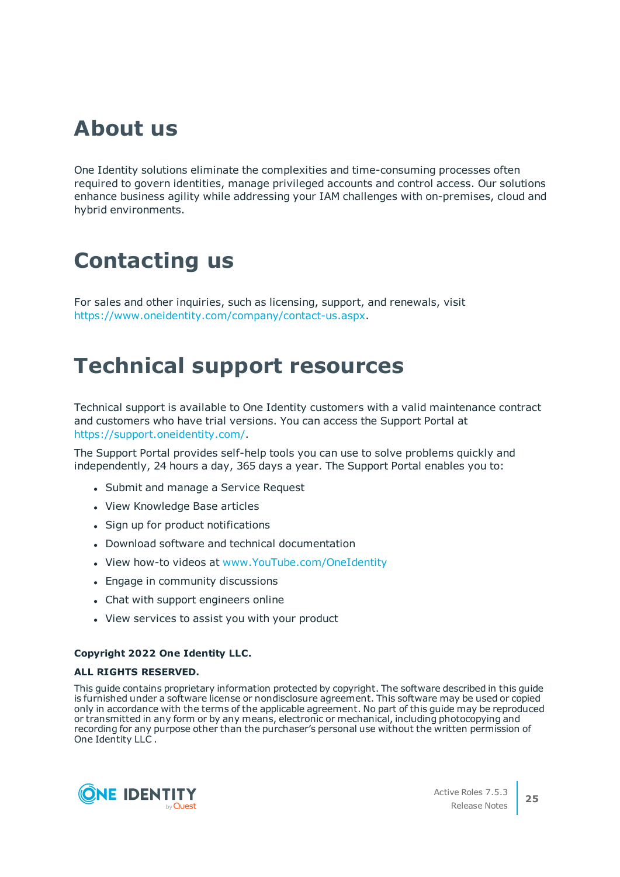# **About us**

One Identity solutions eliminate the complexities and time-consuming processes often required to govern identities, manage privileged accounts and control access. Our solutions enhance business agility while addressing your IAM challenges with on-premises, cloud and hybrid environments.

# **Contacting us**

For sales and other inquiries, such as licensing, support, and renewals, visit <https://www.oneidentity.com/company/contact-us.aspx>.

# **Technical support resources**

Technical support is available to One Identity customers with a valid maintenance contract and customers who have trial versions. You can access the Support Portal at [https://support.oneidentity.com/.](https://support.oneidentity.com/)

The Support Portal provides self-help tools you can use to solve problems quickly and independently, 24 hours a day, 365 days a year. The Support Portal enables you to:

- Submit and manage a Service Request
- View Knowledge Base articles
- Sign up for product notifications
- Download software and technical documentation
- View how-to videos at [www.YouTube.com/OneIdentity](http://www.youtube.com/OneIdentity)
- Engage in community discussions
- Chat with support engineers online
- View services to assist you with your product

#### **Copyright 2022 One Identity LLC.**

#### **ALL RIGHTS RESERVED.**

This guide contains proprietary information protected by copyright. The software described in this guide is furnished under a software license or nondisclosure agreement. This software may be used or copied only in accordance with the terms of the applicable agreement. No part of this guide may be reproduced or transmitted in any form or by any means, electronic or mechanical, including photocopying and recording for any purpose other than the purchaser's personal use without the written permission of One Identity LLC .

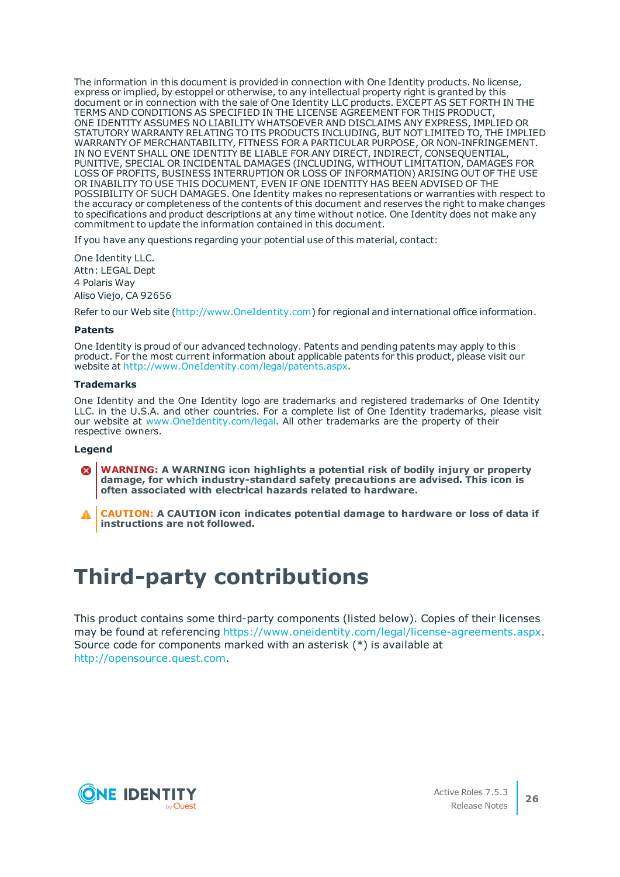The information in this document is provided in connection with One Identity products. No license, express or implied, by estoppel or otherwise, to any intellectual property right is granted by this document or in connection with the sale of One Identity LLC products. EXCEPT AS SET FORTH IN THE TERMS AND CONDITIONS AS SPECIFIED IN THE LICENSE AGREEMENT FOR THIS PRODUCT, ONE IDENTITY ASSUMES NO LIABILITY WHATSOEVER AND DISCLAIMS ANY EXPRESS, IMPLIED OR STATUTORY WARRANTY RELATING TO ITS PRODUCTS INCLUDING, BUT NOT LIMITED TO, THE IMPLIED WARRANTY OF MERCHANTABILITY, FITNESS FOR A PARTICULAR PURPOSE, OR NON-INFRINGEMENT. IN NO EVENT SHALL ONE IDENTITY BE LIABLE FOR ANY DIRECT, INDIRECT, CONSEQUENTIAL, PUNITIVE, SPECIAL OR INCIDENTAL DAMAGES (INCLUDING, WITHOUT LIMITATION, DAMAGES FOR LOSS OF PROFITS, BUSINESS INTERRUPTION OR LOSS OF INFORMATION) ARISING OUT OF THE USE OR INABILITY TO USE THIS DOCUMENT, EVEN IF ONE IDENTITY HAS BEEN ADVISED OF THE POSSIBILITY OF SUCH DAMAGES. One Identity makes no representations or warranties with respect to the accuracy or completeness of the contents of this document and reserves the right to make changes to specifications and product descriptions at any time without notice. One Identity does not make any commitment to update the information contained in this document.

If you have any questions regarding your potential use of this material, contact:

One Identity LLC. Attn: LEGAL Dept 4 Polaris Way Aliso Viejo, CA 92656

Refer to our Web site [\(http://www.OneIdentity.com](http://www.oneidentity.com/)) for regional and international office information.

#### **Patents**

One Identity is proud of our advanced technology. Patents and pending patents may apply to this product. For the most current information about applicable patents for this product, please visit our website at [http://www.OneIdentity.com/legal/patents.aspx.](http://www.oneidentity.com/legal/patents.aspx)

#### **Trademarks**

One Identity and the One Identity logo are trademarks and registered trademarks of One Identity LLC. in the U.S.A. and other countries. For a complete list of One Identity trademarks, please visit our website at [www.OneIdentity.com/legal.](http://www.oneidentity.com/legal) All other trademarks are the property of their respective owners.

#### **Legend**

- **WARNING: A WARNING icon highlights a potential risk of bodily injury or property damage, for which industry-standard safety precautions are advised. This icon is often associated with electrical hazards related to hardware.**
- **CAUTION: A CAUTION icon indicates potential damage to hardware or loss of data if instructions are not followed.**

# **Third-party contributions**

This product contains some third-party components (listed below). Copies of their licenses may be found at referencing [https://www.oneidentity.com/legal/license-agreements.aspx.](https://www.oneidentity.com/legal/license-agreements.aspx) Source code for components marked with an asterisk (\*) is available at [http://opensource.quest.com.](http://opensource.quest.com/)

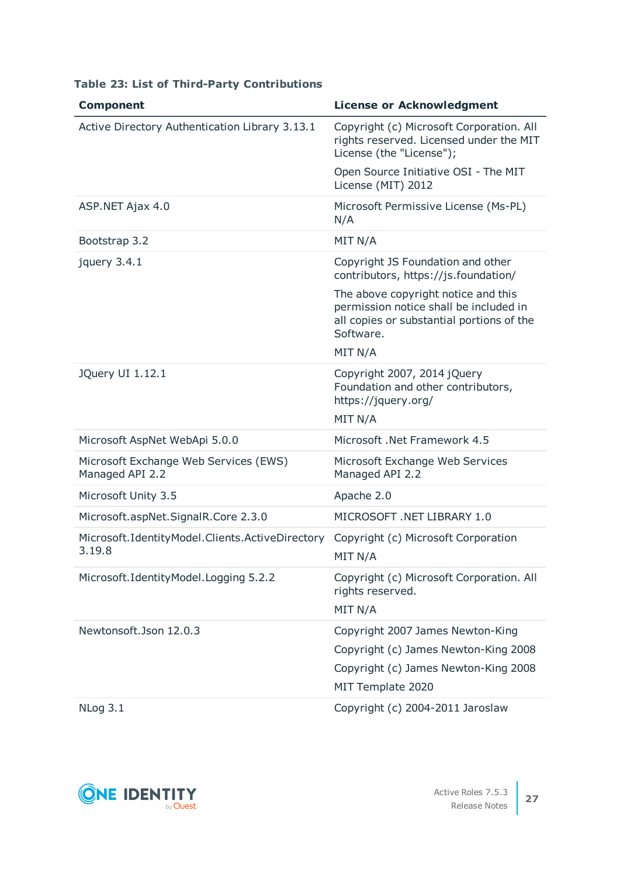| <b>Component</b>                                          | <b>License or Acknowledgment</b>                                                                                                        |
|-----------------------------------------------------------|-----------------------------------------------------------------------------------------------------------------------------------------|
| Active Directory Authentication Library 3.13.1            | Copyright (c) Microsoft Corporation. All<br>rights reserved. Licensed under the MIT<br>License (the "License");                         |
|                                                           | Open Source Initiative OSI - The MIT<br>License (MIT) 2012                                                                              |
| ASP.NET Ajax 4.0                                          | Microsoft Permissive License (Ms-PL)<br>N/A                                                                                             |
| Bootstrap 3.2                                             | MIT N/A                                                                                                                                 |
| jquery 3.4.1                                              | Copyright JS Foundation and other<br>contributors, https://js.foundation/                                                               |
|                                                           | The above copyright notice and this<br>permission notice shall be included in<br>all copies or substantial portions of the<br>Software. |
|                                                           | MIT N/A                                                                                                                                 |
| JQuery UI 1.12.1                                          | Copyright 2007, 2014 jQuery<br>Foundation and other contributors,<br>https://jquery.org/<br>MIT N/A                                     |
| Microsoft AspNet WebApi 5.0.0                             | Microsoft .Net Framework 4.5                                                                                                            |
| Microsoft Exchange Web Services (EWS)<br>Managed API 2.2  | Microsoft Exchange Web Services<br>Managed API 2.2                                                                                      |
| Microsoft Unity 3.5                                       | Apache 2.0                                                                                                                              |
| Microsoft.aspNet.SignalR.Core 2.3.0                       | MICROSOFT .NET LIBRARY 1.0                                                                                                              |
| Microsoft.IdentityModel.Clients.ActiveDirectory<br>3.19.8 | Copyright (c) Microsoft Corporation<br>MIT N/A                                                                                          |
| Microsoft.IdentityModel.Logging 5.2.2                     | Copyright (c) Microsoft Corporation. All<br>rights reserved.<br>MIT N/A                                                                 |
| Newtonsoft.Json 12.0.3                                    | Copyright 2007 James Newton-King<br>Copyright (c) James Newton-King 2008<br>Copyright (c) James Newton-King 2008<br>MIT Template 2020   |
| <b>NLog 3.1</b>                                           | Copyright (c) 2004-2011 Jaroslaw                                                                                                        |

### **Table 23: List of Third-Party Contributions**

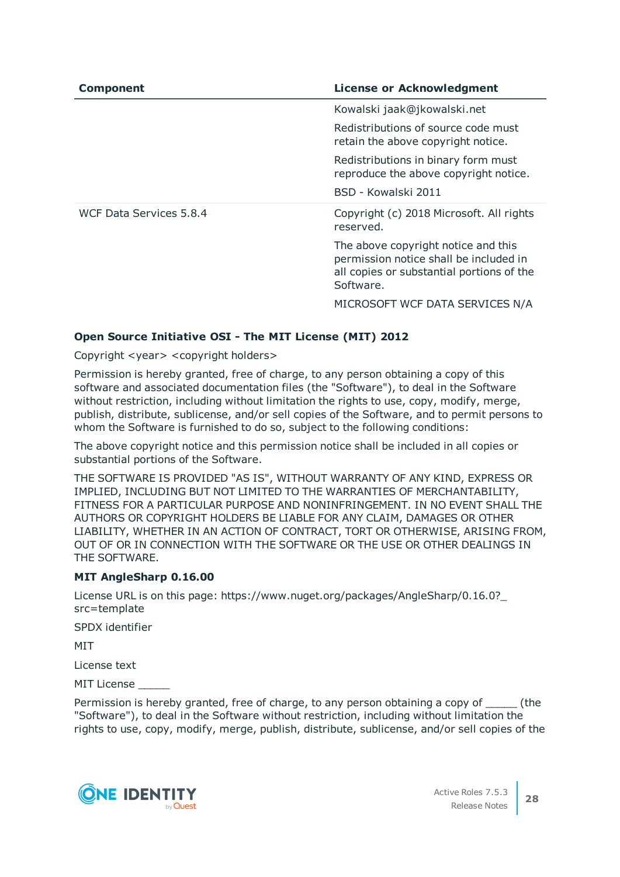| <b>Component</b>        | <b>License or Acknowledgment</b>                                                                                                        |
|-------------------------|-----------------------------------------------------------------------------------------------------------------------------------------|
|                         | Kowalski jaak@jkowalski.net                                                                                                             |
|                         | Redistributions of source code must<br>retain the above copyright notice.                                                               |
|                         | Redistributions in binary form must<br>reproduce the above copyright notice.                                                            |
|                         | BSD - Kowalski 2011                                                                                                                     |
| WCF Data Services 5.8.4 | Copyright (c) 2018 Microsoft. All rights<br>reserved.                                                                                   |
|                         | The above copyright notice and this<br>permission notice shall be included in<br>all copies or substantial portions of the<br>Software. |
|                         | MICROSOFT WCF DATA SERVICES N/A                                                                                                         |

### **Open Source Initiative OSI - The MIT License (MIT) 2012**

Copyright <year> <copyright holders>

Permission is hereby granted, free of charge, to any person obtaining a copy of this software and associated documentation files (the "Software"), to deal in the Software without restriction, including without limitation the rights to use, copy, modify, merge, publish, distribute, sublicense, and/or sell copies of the Software, and to permit persons to whom the Software is furnished to do so, subject to the following conditions:

The above copyright notice and this permission notice shall be included in all copies or substantial portions of the Software.

THE SOFTWARE IS PROVIDED "AS IS", WITHOUT WARRANTY OF ANY KIND, EXPRESS OR IMPLIED, INCLUDING BUT NOT LIMITED TO THE WARRANTIES OF MERCHANTABILITY, FITNESS FOR A PARTICULAR PURPOSE AND NONINFRINGEMENT. IN NO EVENT SHALL THE AUTHORS OR COPYRIGHT HOLDERS BE LIABLE FOR ANY CLAIM, DAMAGES OR OTHER LIABILITY, WHETHER IN AN ACTION OF CONTRACT, TORT OR OTHERWISE, ARISING FROM, OUT OF OR IN CONNECTION WITH THE SOFTWARE OR THE USE OR OTHER DEALINGS IN THE SOFTWARE.

### **MIT AngleSharp 0.16.00**

License URL is on this page: https://www.nuget.org/packages/AngleSharp/0.16.0?\_ src=template

SPDX identifier

MIT

License text

MIT License

Permission is hereby granted, free of charge, to any person obtaining a copy of  $\qquad$  (the "Software"), to deal in the Software without restriction, including without limitation the rights to use, copy, modify, merge, publish, distribute, sublicense, and/or sell copies of the

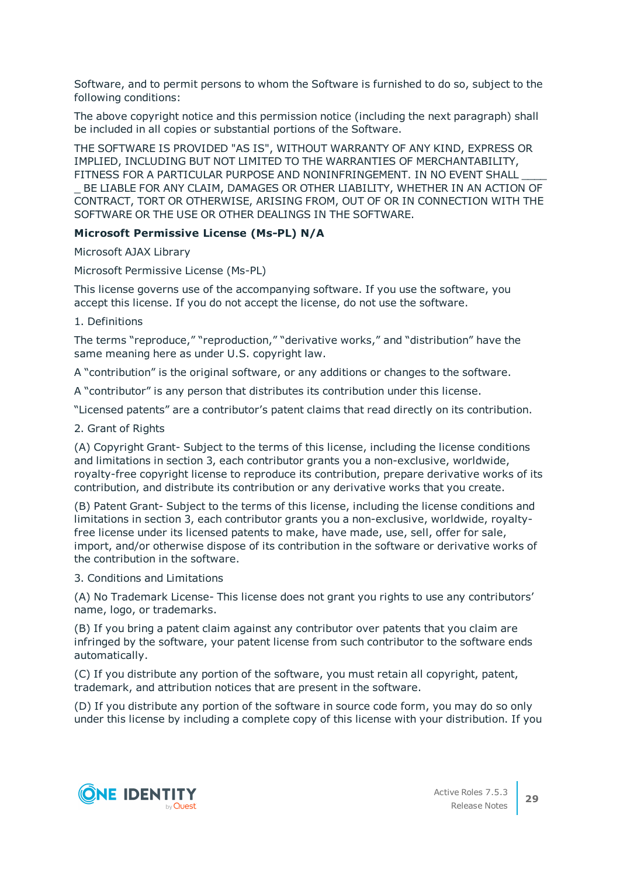Software, and to permit persons to whom the Software is furnished to do so, subject to the following conditions:

The above copyright notice and this permission notice (including the next paragraph) shall be included in all copies or substantial portions of the Software.

THE SOFTWARE IS PROVIDED "AS IS", WITHOUT WARRANTY OF ANY KIND, EXPRESS OR IMPLIED, INCLUDING BUT NOT LIMITED TO THE WARRANTIES OF MERCHANTABILITY, FITNESS FOR A PARTICULAR PURPOSE AND NONINFRINGEMENT. IN NO EVENT SHALL \_ BE LIABLE FOR ANY CLAIM, DAMAGES OR OTHER LIABILITY, WHETHER IN AN ACTION OF CONTRACT, TORT OR OTHERWISE, ARISING FROM, OUT OF OR IN CONNECTION WITH THE SOFTWARE OR THE USE OR OTHER DEALINGS IN THE SOFTWARE.

### **Microsoft Permissive License (Ms-PL) N/A**

### Microsoft AJAX Library

### Microsoft Permissive License (Ms-PL)

This license governs use of the accompanying software. If you use the software, you accept this license. If you do not accept the license, do not use the software.

1. Definitions

The terms "reproduce," "reproduction," "derivative works," and "distribution" have the same meaning here as under U.S. copyright law.

A "contribution" is the original software, or any additions or changes to the software.

A "contributor" is any person that distributes its contribution under this license.

"Licensed patents" are a contributor's patent claims that read directly on its contribution.

2. Grant of Rights

(A) Copyright Grant- Subject to the terms of this license, including the license conditions and limitations in section 3, each contributor grants you a non-exclusive, worldwide, royalty-free copyright license to reproduce its contribution, prepare derivative works of its contribution, and distribute its contribution or any derivative works that you create.

(B) Patent Grant- Subject to the terms of this license, including the license conditions and limitations in section 3, each contributor grants you a non-exclusive, worldwide, royaltyfree license under its licensed patents to make, have made, use, sell, offer for sale, import, and/or otherwise dispose of its contribution in the software or derivative works of the contribution in the software.

3. Conditions and Limitations

(A) No Trademark License- This license does not grant you rights to use any contributors' name, logo, or trademarks.

(B) If you bring a patent claim against any contributor over patents that you claim are infringed by the software, your patent license from such contributor to the software ends automatically.

(C) If you distribute any portion of the software, you must retain all copyright, patent, trademark, and attribution notices that are present in the software.

(D) If you distribute any portion of the software in source code form, you may do so only under this license by including a complete copy of this license with your distribution. If you

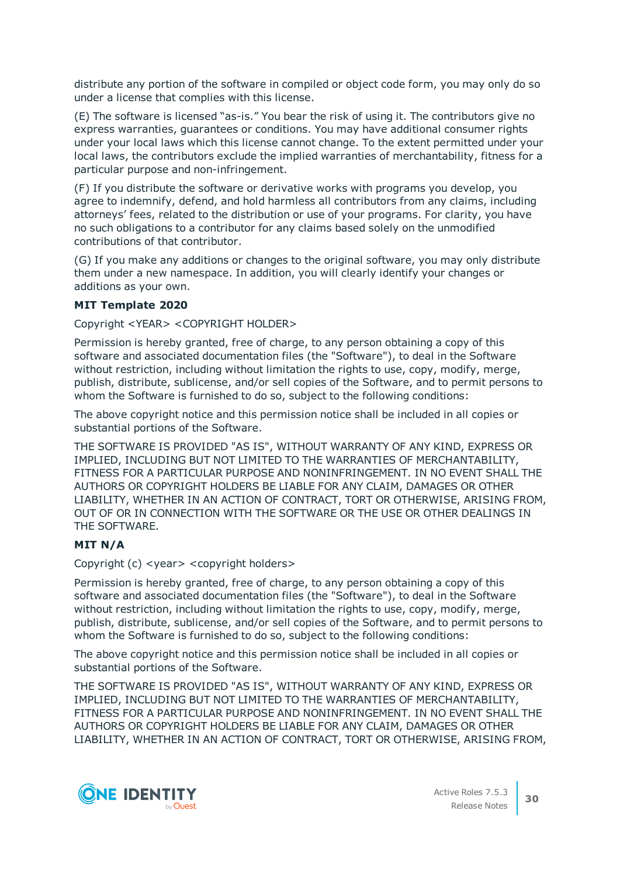distribute any portion of the software in compiled or object code form, you may only do so under a license that complies with this license.

(E) The software is licensed "as-is." You bear the risk of using it. The contributors give no express warranties, guarantees or conditions. You may have additional consumer rights under your local laws which this license cannot change. To the extent permitted under your local laws, the contributors exclude the implied warranties of merchantability, fitness for a particular purpose and non-infringement.

(F) If you distribute the software or derivative works with programs you develop, you agree to indemnify, defend, and hold harmless all contributors from any claims, including attorneys' fees, related to the distribution or use of your programs. For clarity, you have no such obligations to a contributor for any claims based solely on the unmodified contributions of that contributor.

(G) If you make any additions or changes to the original software, you may only distribute them under a new namespace. In addition, you will clearly identify your changes or additions as your own.

### **MIT Template 2020**

Copyright <YEAR> <COPYRIGHT HOLDER>

Permission is hereby granted, free of charge, to any person obtaining a copy of this software and associated documentation files (the "Software"), to deal in the Software without restriction, including without limitation the rights to use, copy, modify, merge, publish, distribute, sublicense, and/or sell copies of the Software, and to permit persons to whom the Software is furnished to do so, subject to the following conditions:

The above copyright notice and this permission notice shall be included in all copies or substantial portions of the Software.

THE SOFTWARE IS PROVIDED "AS IS", WITHOUT WARRANTY OF ANY KIND, EXPRESS OR IMPLIED, INCLUDING BUT NOT LIMITED TO THE WARRANTIES OF MERCHANTABILITY, FITNESS FOR A PARTICULAR PURPOSE AND NONINFRINGEMENT. IN NO EVENT SHALL THE AUTHORS OR COPYRIGHT HOLDERS BE LIABLE FOR ANY CLAIM, DAMAGES OR OTHER LIABILITY, WHETHER IN AN ACTION OF CONTRACT, TORT OR OTHERWISE, ARISING FROM, OUT OF OR IN CONNECTION WITH THE SOFTWARE OR THE USE OR OTHER DEALINGS IN THE SOFTWARE.

### **MIT N/A**

Copyright (c) <year> <copyright holders>

Permission is hereby granted, free of charge, to any person obtaining a copy of this software and associated documentation files (the "Software"), to deal in the Software without restriction, including without limitation the rights to use, copy, modify, merge, publish, distribute, sublicense, and/or sell copies of the Software, and to permit persons to whom the Software is furnished to do so, subject to the following conditions:

The above copyright notice and this permission notice shall be included in all copies or substantial portions of the Software.

THE SOFTWARE IS PROVIDED "AS IS", WITHOUT WARRANTY OF ANY KIND, EXPRESS OR IMPLIED, INCLUDING BUT NOT LIMITED TO THE WARRANTIES OF MERCHANTABILITY, FITNESS FOR A PARTICULAR PURPOSE AND NONINFRINGEMENT. IN NO EVENT SHALL THE AUTHORS OR COPYRIGHT HOLDERS BE LIABLE FOR ANY CLAIM, DAMAGES OR OTHER LIABILITY, WHETHER IN AN ACTION OF CONTRACT, TORT OR OTHERWISE, ARISING FROM,

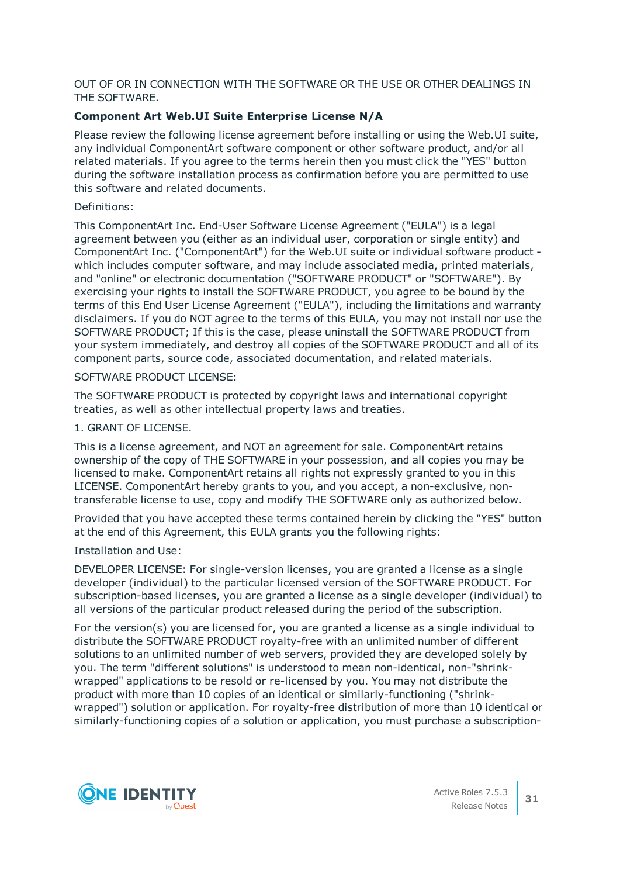### OUT OF OR IN CONNECTION WITH THE SOFTWARE OR THE USE OR OTHER DEALINGS IN THE SOFTWARE.

### **Component Art Web.UI Suite Enterprise License N/A**

Please review the following license agreement before installing or using the Web.UI suite, any individual ComponentArt software component or other software product, and/or all related materials. If you agree to the terms herein then you must click the "YES" button during the software installation process as confirmation before you are permitted to use this software and related documents.

### Definitions:

This ComponentArt Inc. End-User Software License Agreement ("EULA") is a legal agreement between you (either as an individual user, corporation or single entity) and ComponentArt Inc. ("ComponentArt") for the Web.UI suite or individual software product which includes computer software, and may include associated media, printed materials, and "online" or electronic documentation ("SOFTWARE PRODUCT" or "SOFTWARE"). By exercising your rights to install the SOFTWARE PRODUCT, you agree to be bound by the terms of this End User License Agreement ("EULA"), including the limitations and warranty disclaimers. If you do NOT agree to the terms of this EULA, you may not install nor use the SOFTWARE PRODUCT; If this is the case, please uninstall the SOFTWARE PRODUCT from your system immediately, and destroy all copies of the SOFTWARE PRODUCT and all of its component parts, source code, associated documentation, and related materials.

### SOFTWARE PRODUCT LICENSE:

The SOFTWARE PRODUCT is protected by copyright laws and international copyright treaties, as well as other intellectual property laws and treaties.

### 1. GRANT OF LICENSE.

This is a license agreement, and NOT an agreement for sale. ComponentArt retains ownership of the copy of THE SOFTWARE in your possession, and all copies you may be licensed to make. ComponentArt retains all rights not expressly granted to you in this LICENSE. ComponentArt hereby grants to you, and you accept, a non-exclusive, nontransferable license to use, copy and modify THE SOFTWARE only as authorized below.

Provided that you have accepted these terms contained herein by clicking the "YES" button at the end of this Agreement, this EULA grants you the following rights:

### Installation and Use:

DEVELOPER LICENSE: For single-version licenses, you are granted a license as a single developer (individual) to the particular licensed version of the SOFTWARE PRODUCT. For subscription-based licenses, you are granted a license as a single developer (individual) to all versions of the particular product released during the period of the subscription.

For the version(s) you are licensed for, you are granted a license as a single individual to distribute the SOFTWARE PRODUCT royalty-free with an unlimited number of different solutions to an unlimited number of web servers, provided they are developed solely by you. The term "different solutions" is understood to mean non-identical, non-"shrinkwrapped" applications to be resold or re-licensed by you. You may not distribute the product with more than 10 copies of an identical or similarly-functioning ("shrinkwrapped") solution or application. For royalty-free distribution of more than 10 identical or similarly-functioning copies of a solution or application, you must purchase a subscription-

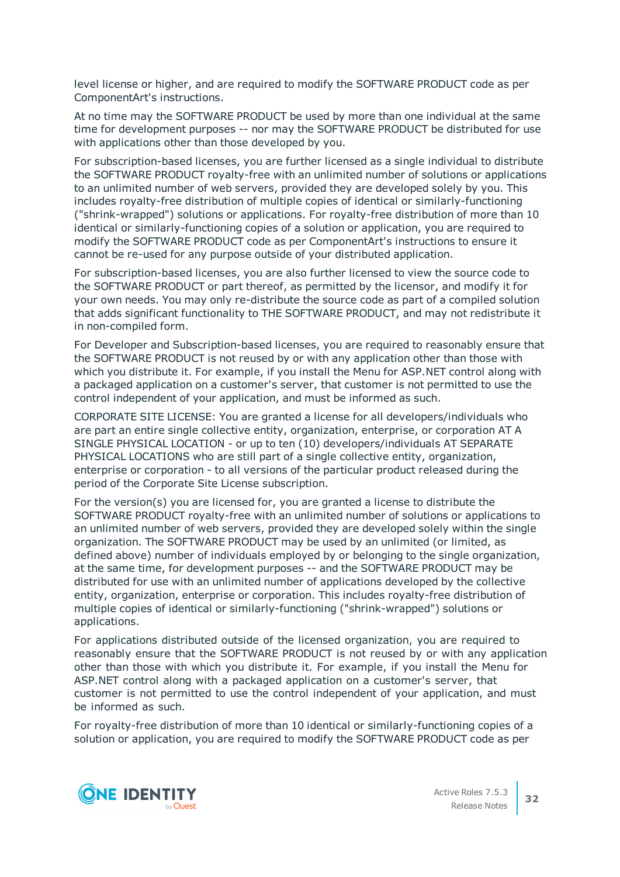level license or higher, and are required to modify the SOFTWARE PRODUCT code as per ComponentArt's instructions.

At no time may the SOFTWARE PRODUCT be used by more than one individual at the same time for development purposes -- nor may the SOFTWARE PRODUCT be distributed for use with applications other than those developed by you.

For subscription-based licenses, you are further licensed as a single individual to distribute the SOFTWARE PRODUCT royalty-free with an unlimited number of solutions or applications to an unlimited number of web servers, provided they are developed solely by you. This includes royalty-free distribution of multiple copies of identical or similarly-functioning ("shrink-wrapped") solutions or applications. For royalty-free distribution of more than 10 identical or similarly-functioning copies of a solution or application, you are required to modify the SOFTWARE PRODUCT code as per ComponentArt's instructions to ensure it cannot be re-used for any purpose outside of your distributed application.

For subscription-based licenses, you are also further licensed to view the source code to the SOFTWARE PRODUCT or part thereof, as permitted by the licensor, and modify it for your own needs. You may only re-distribute the source code as part of a compiled solution that adds significant functionality to THE SOFTWARE PRODUCT, and may not redistribute it in non-compiled form.

For Developer and Subscription-based licenses, you are required to reasonably ensure that the SOFTWARE PRODUCT is not reused by or with any application other than those with which you distribute it. For example, if you install the Menu for ASP.NET control along with a packaged application on a customer's server, that customer is not permitted to use the control independent of your application, and must be informed as such.

CORPORATE SITE LICENSE: You are granted a license for all developers/individuals who are part an entire single collective entity, organization, enterprise, or corporation AT A SINGLE PHYSICAL LOCATION - or up to ten (10) developers/individuals AT SEPARATE PHYSICAL LOCATIONS who are still part of a single collective entity, organization, enterprise or corporation - to all versions of the particular product released during the period of the Corporate Site License subscription.

For the version(s) you are licensed for, you are granted a license to distribute the SOFTWARE PRODUCT royalty-free with an unlimited number of solutions or applications to an unlimited number of web servers, provided they are developed solely within the single organization. The SOFTWARE PRODUCT may be used by an unlimited (or limited, as defined above) number of individuals employed by or belonging to the single organization, at the same time, for development purposes -- and the SOFTWARE PRODUCT may be distributed for use with an unlimited number of applications developed by the collective entity, organization, enterprise or corporation. This includes royalty-free distribution of multiple copies of identical or similarly-functioning ("shrink-wrapped") solutions or applications.

For applications distributed outside of the licensed organization, you are required to reasonably ensure that the SOFTWARE PRODUCT is not reused by or with any application other than those with which you distribute it. For example, if you install the Menu for ASP.NET control along with a packaged application on a customer's server, that customer is not permitted to use the control independent of your application, and must be informed as such.

For royalty-free distribution of more than 10 identical or similarly-functioning copies of a solution or application, you are required to modify the SOFTWARE PRODUCT code as per

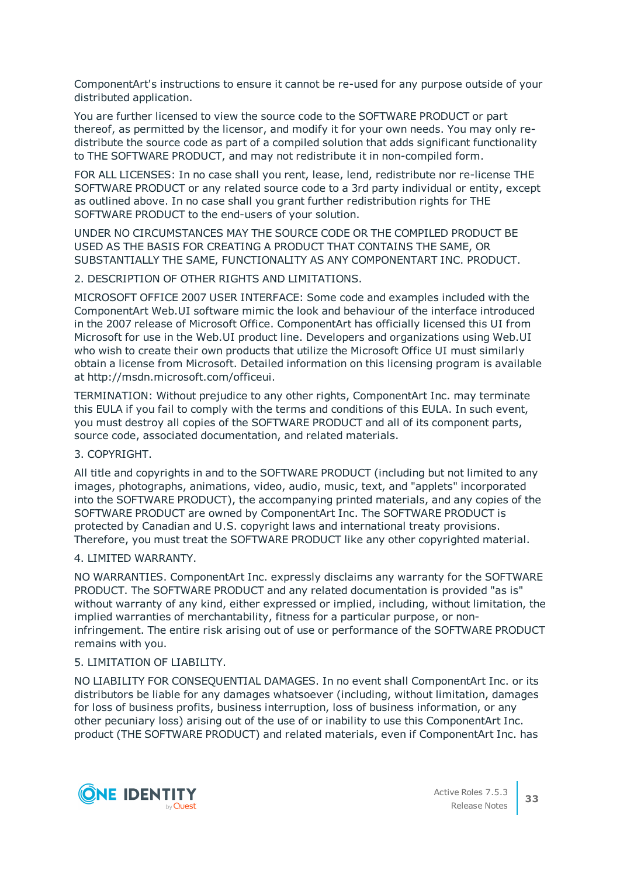ComponentArt's instructions to ensure it cannot be re-used for any purpose outside of your distributed application.

You are further licensed to view the source code to the SOFTWARE PRODUCT or part thereof, as permitted by the licensor, and modify it for your own needs. You may only redistribute the source code as part of a compiled solution that adds significant functionality to THE SOFTWARE PRODUCT, and may not redistribute it in non-compiled form.

FOR ALL LICENSES: In no case shall you rent, lease, lend, redistribute nor re-license THE SOFTWARE PRODUCT or any related source code to a 3rd party individual or entity, except as outlined above. In no case shall you grant further redistribution rights for THE SOFTWARE PRODUCT to the end-users of your solution.

UNDER NO CIRCUMSTANCES MAY THE SOURCE CODE OR THE COMPILED PRODUCT BE USED AS THE BASIS FOR CREATING A PRODUCT THAT CONTAINS THE SAME, OR SUBSTANTIALLY THE SAME, FUNCTIONALITY AS ANY COMPONENTART INC. PRODUCT.

2. DESCRIPTION OF OTHER RIGHTS AND LIMITATIONS.

MICROSOFT OFFICE 2007 USER INTERFACE: Some code and examples included with the ComponentArt Web.UI software mimic the look and behaviour of the interface introduced in the 2007 release of Microsoft Office. ComponentArt has officially licensed this UI from Microsoft for use in the Web.UI product line. Developers and organizations using Web.UI who wish to create their own products that utilize the Microsoft Office UI must similarly obtain a license from Microsoft. Detailed information on this licensing program is available at http://msdn.microsoft.com/officeui.

TERMINATION: Without prejudice to any other rights, ComponentArt Inc. may terminate this EULA if you fail to comply with the terms and conditions of this EULA. In such event, you must destroy all copies of the SOFTWARE PRODUCT and all of its component parts, source code, associated documentation, and related materials.

### 3. COPYRIGHT.

All title and copyrights in and to the SOFTWARE PRODUCT (including but not limited to any images, photographs, animations, video, audio, music, text, and "applets" incorporated into the SOFTWARE PRODUCT), the accompanying printed materials, and any copies of the SOFTWARE PRODUCT are owned by ComponentArt Inc. The SOFTWARE PRODUCT is protected by Canadian and U.S. copyright laws and international treaty provisions. Therefore, you must treat the SOFTWARE PRODUCT like any other copyrighted material.

### 4. LIMITED WARRANTY.

NO WARRANTIES. ComponentArt Inc. expressly disclaims any warranty for the SOFTWARE PRODUCT. The SOFTWARE PRODUCT and any related documentation is provided "as is" without warranty of any kind, either expressed or implied, including, without limitation, the implied warranties of merchantability, fitness for a particular purpose, or noninfringement. The entire risk arising out of use or performance of the SOFTWARE PRODUCT remains with you.

### 5. LIMITATION OF LIABILITY.

NO LIABILITY FOR CONSEQUENTIAL DAMAGES. In no event shall ComponentArt Inc. or its distributors be liable for any damages whatsoever (including, without limitation, damages for loss of business profits, business interruption, loss of business information, or any other pecuniary loss) arising out of the use of or inability to use this ComponentArt Inc. product (THE SOFTWARE PRODUCT) and related materials, even if ComponentArt Inc. has

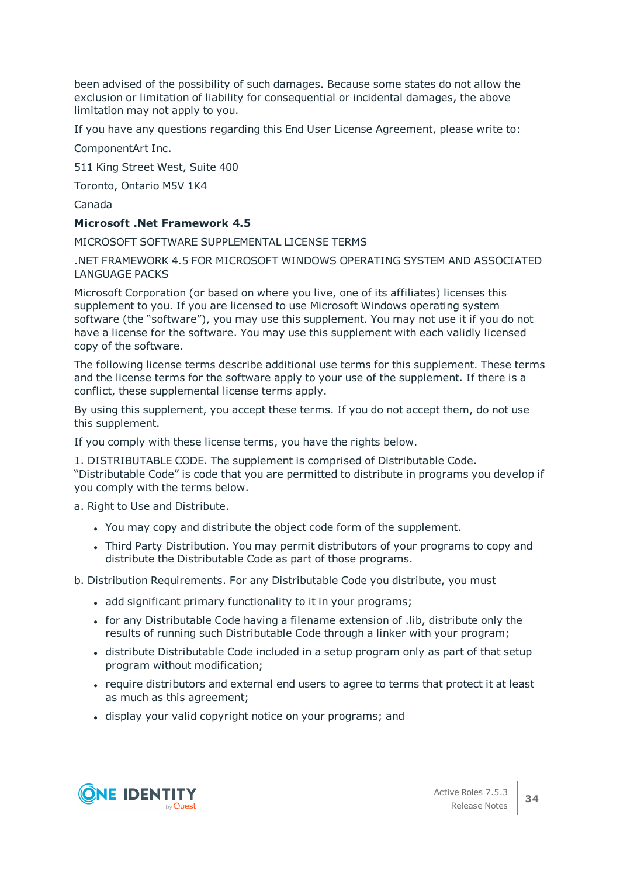been advised of the possibility of such damages. Because some states do not allow the exclusion or limitation of liability for consequential or incidental damages, the above limitation may not apply to you.

If you have any questions regarding this End User License Agreement, please write to:

ComponentArt Inc.

511 King Street West, Suite 400

Toronto, Ontario M5V 1K4

Canada

### **Microsoft .Net Framework 4.5**

MICROSOFT SOFTWARE SUPPLEMENTAL LICENSE TERMS

.NET FRAMEWORK 4.5 FOR MICROSOFT WINDOWS OPERATING SYSTEM AND ASSOCIATED LANGUAGE PACKS

Microsoft Corporation (or based on where you live, one of its affiliates) licenses this supplement to you. If you are licensed to use Microsoft Windows operating system software (the "software"), you may use this supplement. You may not use it if you do not have a license for the software. You may use this supplement with each validly licensed copy of the software.

The following license terms describe additional use terms for this supplement. These terms and the license terms for the software apply to your use of the supplement. If there is a conflict, these supplemental license terms apply.

By using this supplement, you accept these terms. If you do not accept them, do not use this supplement.

If you comply with these license terms, you have the rights below.

1. DISTRIBUTABLE CODE. The supplement is comprised of Distributable Code. "Distributable Code" is code that you are permitted to distribute in programs you develop if you comply with the terms below.

a. Right to Use and Distribute.

- You may copy and distribute the object code form of the supplement.
- Third Party Distribution. You may permit distributors of your programs to copy and distribute the Distributable Code as part of those programs.

b. Distribution Requirements. For any Distributable Code you distribute, you must

- . add significant primary functionality to it in your programs;
- for any Distributable Code having a filename extension of .lib, distribute only the results of running such Distributable Code through a linker with your program;
- distribute Distributable Code included in a setup program only as part of that setup program without modification;
- require distributors and external end users to agree to terms that protect it at least as much as this agreement;
- display your valid copyright notice on your programs; and

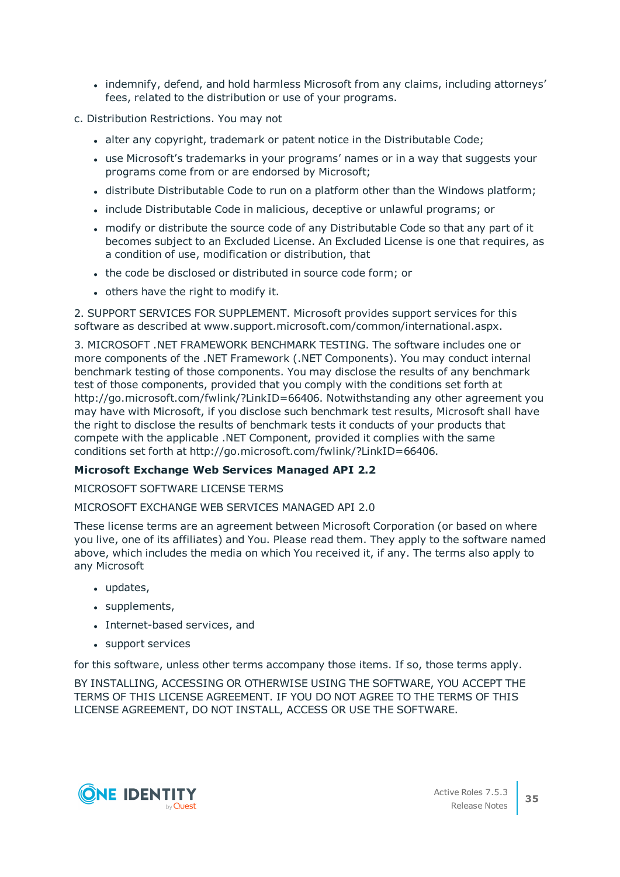- indemnify, defend, and hold harmless Microsoft from any claims, including attorneys' fees, related to the distribution or use of your programs.
- c. Distribution Restrictions. You may not
	- alter any copyright, trademark or patent notice in the Distributable Code;
	- use Microsoft's trademarks in your programs' names or in a way that suggests your programs come from or are endorsed by Microsoft;
	- distribute Distributable Code to run on a platform other than the Windows platform;
	- include Distributable Code in malicious, deceptive or unlawful programs; or
	- modify or distribute the source code of any Distributable Code so that any part of it becomes subject to an Excluded License. An Excluded License is one that requires, as a condition of use, modification or distribution, that
	- the code be disclosed or distributed in source code form; or
	- others have the right to modify it.

2. SUPPORT SERVICES FOR SUPPLEMENT. Microsoft provides support services for this software as described at www.support.microsoft.com/common/international.aspx.

3. MICROSOFT .NET FRAMEWORK BENCHMARK TESTING. The software includes one or more components of the .NET Framework (.NET Components). You may conduct internal benchmark testing of those components. You may disclose the results of any benchmark test of those components, provided that you comply with the conditions set forth at http://go.microsoft.com/fwlink/?LinkID=66406. Notwithstanding any other agreement you may have with Microsoft, if you disclose such benchmark test results, Microsoft shall have the right to disclose the results of benchmark tests it conducts of your products that compete with the applicable .NET Component, provided it complies with the same conditions set forth at http://go.microsoft.com/fwlink/?LinkID=66406.

### **Microsoft Exchange Web Services Managed API 2.2**

MICROSOFT SOFTWARE LICENSE TERMS

MICROSOFT EXCHANGE WEB SERVICES MANAGED API 2.0

These license terms are an agreement between Microsoft Corporation (or based on where you live, one of its affiliates) and You. Please read them. They apply to the software named above, which includes the media on which You received it, if any. The terms also apply to any Microsoft

- updates,
- supplements,
- Internet-based services, and
- support services

for this software, unless other terms accompany those items. If so, those terms apply.

BY INSTALLING, ACCESSING OR OTHERWISE USING THE SOFTWARE, YOU ACCEPT THE TERMS OF THIS LICENSE AGREEMENT. IF YOU DO NOT AGREE TO THE TERMS OF THIS LICENSE AGREEMENT, DO NOT INSTALL, ACCESS OR USE THE SOFTWARE.

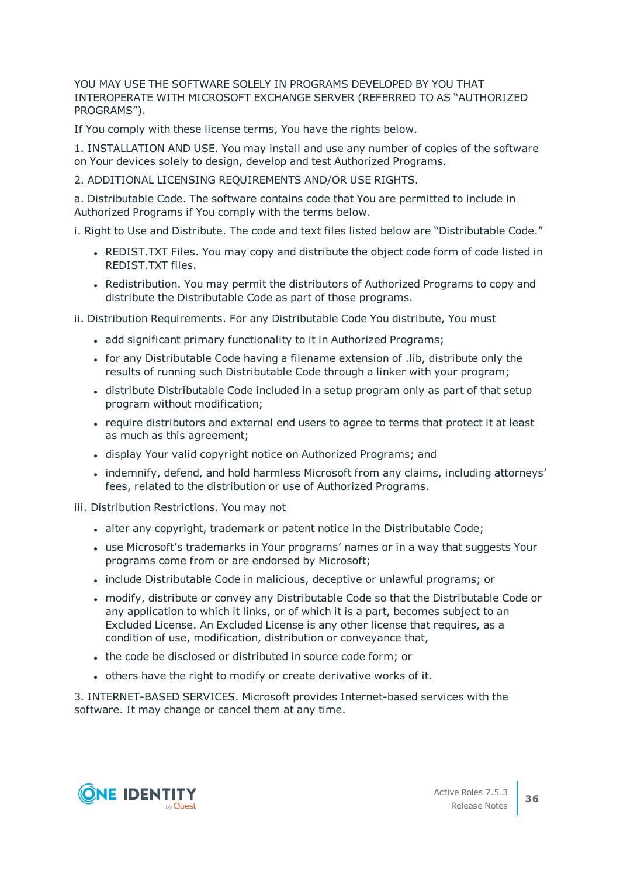YOU MAY USE THE SOFTWARE SOLELY IN PROGRAMS DEVELOPED BY YOU THAT INTEROPERATE WITH MICROSOFT EXCHANGE SERVER (REFERRED TO AS "AUTHORIZED PROGRAMS").

If You comply with these license terms, You have the rights below.

1. INSTALLATION AND USE. You may install and use any number of copies of the software on Your devices solely to design, develop and test Authorized Programs.

2. ADDITIONAL LICENSING REQUIREMENTS AND/OR USE RIGHTS.

a. Distributable Code. The software contains code that You are permitted to include in Authorized Programs if You comply with the terms below.

i. Right to Use and Distribute. The code and text files listed below are "Distributable Code."

- REDIST.TXT Files. You may copy and distribute the object code form of code listed in REDIST.TXT files.
- Redistribution. You may permit the distributors of Authorized Programs to copy and distribute the Distributable Code as part of those programs.

ii. Distribution Requirements. For any Distributable Code You distribute, You must

- add significant primary functionality to it in Authorized Programs;
- for any Distributable Code having a filename extension of .lib, distribute only the results of running such Distributable Code through a linker with your program;
- distribute Distributable Code included in a setup program only as part of that setup program without modification;
- require distributors and external end users to agree to terms that protect it at least as much as this agreement;
- display Your valid copyright notice on Authorized Programs; and
- indemnify, defend, and hold harmless Microsoft from any claims, including attorneys' fees, related to the distribution or use of Authorized Programs.

iii. Distribution Restrictions. You may not

- alter any copyright, trademark or patent notice in the Distributable Code;
- use Microsoft's trademarks in Your programs' names or in a way that suggests Your programs come from or are endorsed by Microsoft;
- include Distributable Code in malicious, deceptive or unlawful programs; or
- modify, distribute or convey any Distributable Code so that the Distributable Code or any application to which it links, or of which it is a part, becomes subject to an Excluded License. An Excluded License is any other license that requires, as a condition of use, modification, distribution or conveyance that,
- . the code be disclosed or distributed in source code form; or
- others have the right to modify or create derivative works of it.

3. INTERNET-BASED SERVICES. Microsoft provides Internet-based services with the software. It may change or cancel them at any time.

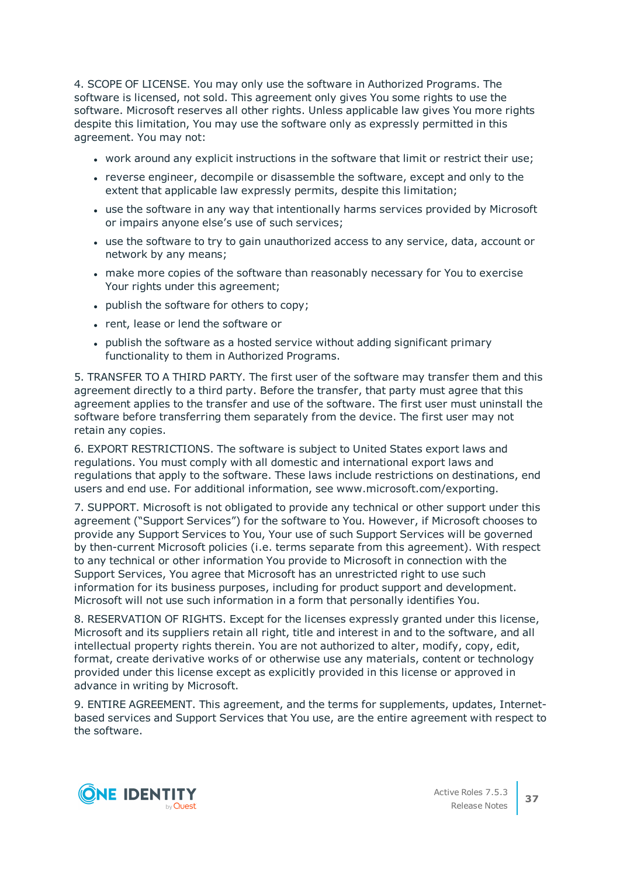4. SCOPE OF LICENSE. You may only use the software in Authorized Programs. The software is licensed, not sold. This agreement only gives You some rights to use the software. Microsoft reserves all other rights. Unless applicable law gives You more rights despite this limitation, You may use the software only as expressly permitted in this agreement. You may not:

- work around any explicit instructions in the software that limit or restrict their use;
- reverse engineer, decompile or disassemble the software, except and only to the extent that applicable law expressly permits, despite this limitation;
- use the software in any way that intentionally harms services provided by Microsoft or impairs anyone else's use of such services;
- . use the software to try to gain unauthorized access to any service, data, account or network by any means;
- make more copies of the software than reasonably necessary for You to exercise Your rights under this agreement;
- publish the software for others to copy;
- rent, lease or lend the software or
- publish the software as a hosted service without adding significant primary functionality to them in Authorized Programs.

5. TRANSFER TO A THIRD PARTY. The first user of the software may transfer them and this agreement directly to a third party. Before the transfer, that party must agree that this agreement applies to the transfer and use of the software. The first user must uninstall the software before transferring them separately from the device. The first user may not retain any copies.

6. EXPORT RESTRICTIONS. The software is subject to United States export laws and regulations. You must comply with all domestic and international export laws and regulations that apply to the software. These laws include restrictions on destinations, end users and end use. For additional information, see www.microsoft.com/exporting.

7. SUPPORT. Microsoft is not obligated to provide any technical or other support under this agreement ("Support Services") for the software to You. However, if Microsoft chooses to provide any Support Services to You, Your use of such Support Services will be governed by then-current Microsoft policies (i.e. terms separate from this agreement). With respect to any technical or other information You provide to Microsoft in connection with the Support Services, You agree that Microsoft has an unrestricted right to use such information for its business purposes, including for product support and development. Microsoft will not use such information in a form that personally identifies You.

8. RESERVATION OF RIGHTS. Except for the licenses expressly granted under this license, Microsoft and its suppliers retain all right, title and interest in and to the software, and all intellectual property rights therein. You are not authorized to alter, modify, copy, edit, format, create derivative works of or otherwise use any materials, content or technology provided under this license except as explicitly provided in this license or approved in advance in writing by Microsoft.

9. ENTIRE AGREEMENT. This agreement, and the terms for supplements, updates, Internetbased services and Support Services that You use, are the entire agreement with respect to the software.

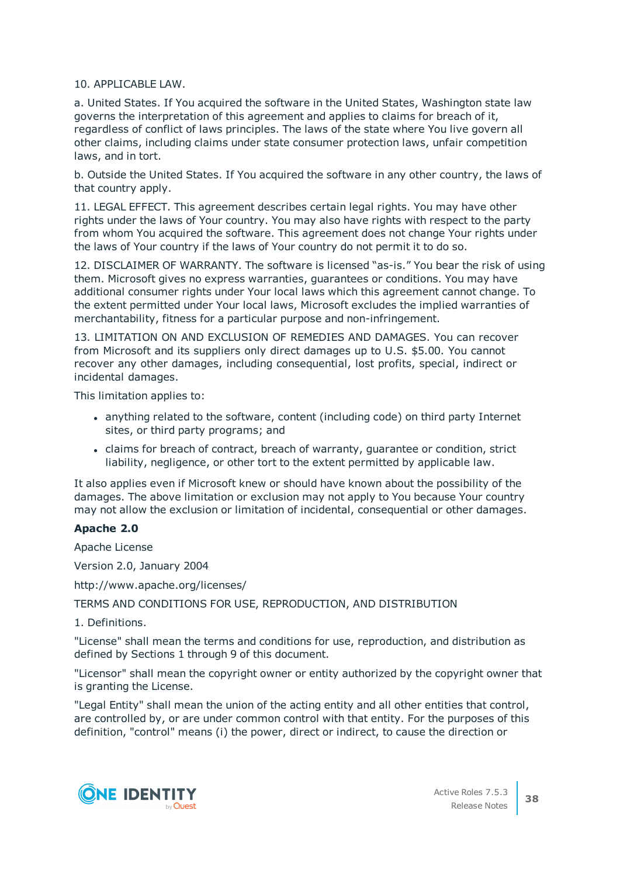### 10. APPLICABLE LAW.

a. United States. If You acquired the software in the United States, Washington state law governs the interpretation of this agreement and applies to claims for breach of it, regardless of conflict of laws principles. The laws of the state where You live govern all other claims, including claims under state consumer protection laws, unfair competition laws, and in tort.

b. Outside the United States. If You acquired the software in any other country, the laws of that country apply.

11. LEGAL EFFECT. This agreement describes certain legal rights. You may have other rights under the laws of Your country. You may also have rights with respect to the party from whom You acquired the software. This agreement does not change Your rights under the laws of Your country if the laws of Your country do not permit it to do so.

12. DISCLAIMER OF WARRANTY. The software is licensed "as-is." You bear the risk of using them. Microsoft gives no express warranties, guarantees or conditions. You may have additional consumer rights under Your local laws which this agreement cannot change. To the extent permitted under Your local laws, Microsoft excludes the implied warranties of merchantability, fitness for a particular purpose and non-infringement.

13. LIMITATION ON AND EXCLUSION OF REMEDIES AND DAMAGES. You can recover from Microsoft and its suppliers only direct damages up to U.S. \$5.00. You cannot recover any other damages, including consequential, lost profits, special, indirect or incidental damages.

This limitation applies to:

- anything related to the software, content (including code) on third party Internet sites, or third party programs; and
- <sup>l</sup> claims for breach of contract, breach of warranty, guarantee or condition, strict liability, negligence, or other tort to the extent permitted by applicable law.

It also applies even if Microsoft knew or should have known about the possibility of the damages. The above limitation or exclusion may not apply to You because Your country may not allow the exclusion or limitation of incidental, consequential or other damages.

### **Apache 2.0**

Apache License

Version 2.0, January 2004

http://www.apache.org/licenses/

TERMS AND CONDITIONS FOR USE, REPRODUCTION, AND DISTRIBUTION

1. Definitions.

"License" shall mean the terms and conditions for use, reproduction, and distribution as defined by Sections 1 through 9 of this document.

"Licensor" shall mean the copyright owner or entity authorized by the copyright owner that is granting the License.

"Legal Entity" shall mean the union of the acting entity and all other entities that control, are controlled by, or are under common control with that entity. For the purposes of this definition, "control" means (i) the power, direct or indirect, to cause the direction or

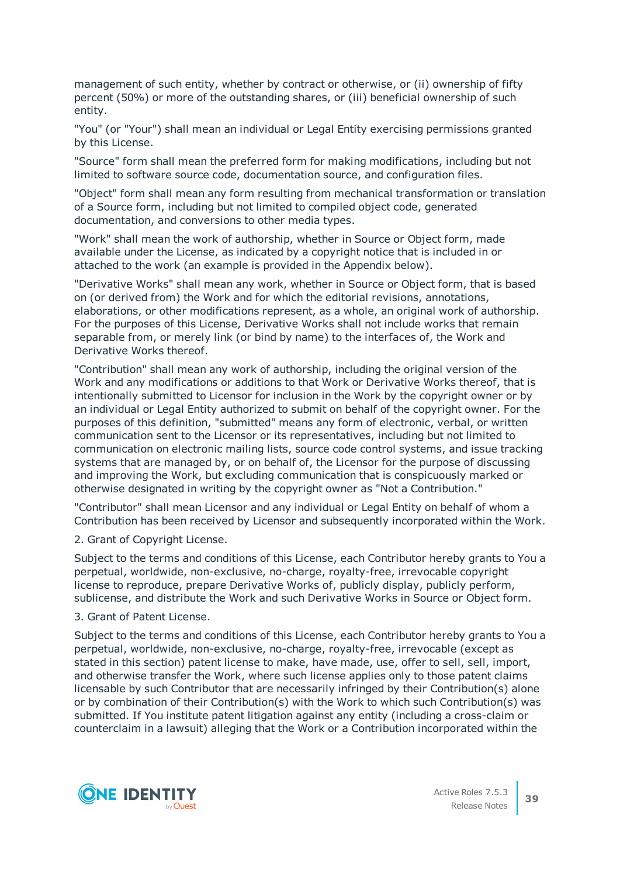management of such entity, whether by contract or otherwise, or (ii) ownership of fifty percent (50%) or more of the outstanding shares, or (iii) beneficial ownership of such entity.

"You" (or "Your") shall mean an individual or Legal Entity exercising permissions granted by this License.

"Source" form shall mean the preferred form for making modifications, including but not limited to software source code, documentation source, and configuration files.

"Object" form shall mean any form resulting from mechanical transformation or translation of a Source form, including but not limited to compiled object code, generated documentation, and conversions to other media types.

"Work" shall mean the work of authorship, whether in Source or Object form, made available under the License, as indicated by a copyright notice that is included in or attached to the work (an example is provided in the Appendix below).

"Derivative Works" shall mean any work, whether in Source or Object form, that is based on (or derived from) the Work and for which the editorial revisions, annotations, elaborations, or other modifications represent, as a whole, an original work of authorship. For the purposes of this License, Derivative Works shall not include works that remain separable from, or merely link (or bind by name) to the interfaces of, the Work and Derivative Works thereof.

"Contribution" shall mean any work of authorship, including the original version of the Work and any modifications or additions to that Work or Derivative Works thereof, that is intentionally submitted to Licensor for inclusion in the Work by the copyright owner or by an individual or Legal Entity authorized to submit on behalf of the copyright owner. For the purposes of this definition, "submitted" means any form of electronic, verbal, or written communication sent to the Licensor or its representatives, including but not limited to communication on electronic mailing lists, source code control systems, and issue tracking systems that are managed by, or on behalf of, the Licensor for the purpose of discussing and improving the Work, but excluding communication that is conspicuously marked or otherwise designated in writing by the copyright owner as "Not a Contribution."

"Contributor" shall mean Licensor and any individual or Legal Entity on behalf of whom a Contribution has been received by Licensor and subsequently incorporated within the Work.

2. Grant of Copyright License.

Subject to the terms and conditions of this License, each Contributor hereby grants to You a perpetual, worldwide, non-exclusive, no-charge, royalty-free, irrevocable copyright license to reproduce, prepare Derivative Works of, publicly display, publicly perform, sublicense, and distribute the Work and such Derivative Works in Source or Object form.

3. Grant of Patent License.

Subject to the terms and conditions of this License, each Contributor hereby grants to You a perpetual, worldwide, non-exclusive, no-charge, royalty-free, irrevocable (except as stated in this section) patent license to make, have made, use, offer to sell, sell, import, and otherwise transfer the Work, where such license applies only to those patent claims licensable by such Contributor that are necessarily infringed by their Contribution(s) alone or by combination of their Contribution(s) with the Work to which such Contribution(s) was submitted. If You institute patent litigation against any entity (including a cross-claim or counterclaim in a lawsuit) alleging that the Work or a Contribution incorporated within the

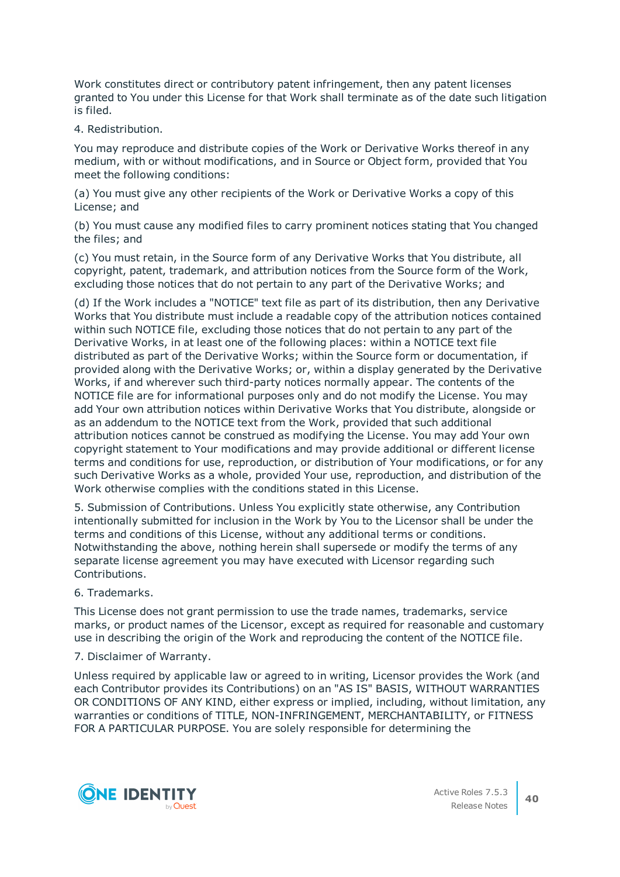Work constitutes direct or contributory patent infringement, then any patent licenses granted to You under this License for that Work shall terminate as of the date such litigation is filed.

4. Redistribution.

You may reproduce and distribute copies of the Work or Derivative Works thereof in any medium, with or without modifications, and in Source or Object form, provided that You meet the following conditions:

(a) You must give any other recipients of the Work or Derivative Works a copy of this License; and

(b) You must cause any modified files to carry prominent notices stating that You changed the files; and

(c) You must retain, in the Source form of any Derivative Works that You distribute, all copyright, patent, trademark, and attribution notices from the Source form of the Work, excluding those notices that do not pertain to any part of the Derivative Works; and

(d) If the Work includes a "NOTICE" text file as part of its distribution, then any Derivative Works that You distribute must include a readable copy of the attribution notices contained within such NOTICE file, excluding those notices that do not pertain to any part of the Derivative Works, in at least one of the following places: within a NOTICE text file distributed as part of the Derivative Works; within the Source form or documentation, if provided along with the Derivative Works; or, within a display generated by the Derivative Works, if and wherever such third-party notices normally appear. The contents of the NOTICE file are for informational purposes only and do not modify the License. You may add Your own attribution notices within Derivative Works that You distribute, alongside or as an addendum to the NOTICE text from the Work, provided that such additional attribution notices cannot be construed as modifying the License. You may add Your own copyright statement to Your modifications and may provide additional or different license terms and conditions for use, reproduction, or distribution of Your modifications, or for any such Derivative Works as a whole, provided Your use, reproduction, and distribution of the Work otherwise complies with the conditions stated in this License.

5. Submission of Contributions. Unless You explicitly state otherwise, any Contribution intentionally submitted for inclusion in the Work by You to the Licensor shall be under the terms and conditions of this License, without any additional terms or conditions. Notwithstanding the above, nothing herein shall supersede or modify the terms of any separate license agreement you may have executed with Licensor regarding such Contributions.

6. Trademarks.

This License does not grant permission to use the trade names, trademarks, service marks, or product names of the Licensor, except as required for reasonable and customary use in describing the origin of the Work and reproducing the content of the NOTICE file.

### 7. Disclaimer of Warranty.

Unless required by applicable law or agreed to in writing, Licensor provides the Work (and each Contributor provides its Contributions) on an "AS IS" BASIS, WITHOUT WARRANTIES OR CONDITIONS OF ANY KIND, either express or implied, including, without limitation, any warranties or conditions of TITLE, NON-INFRINGEMENT, MERCHANTABILITY, or FITNESS FOR A PARTICULAR PURPOSE. You are solely responsible for determining the

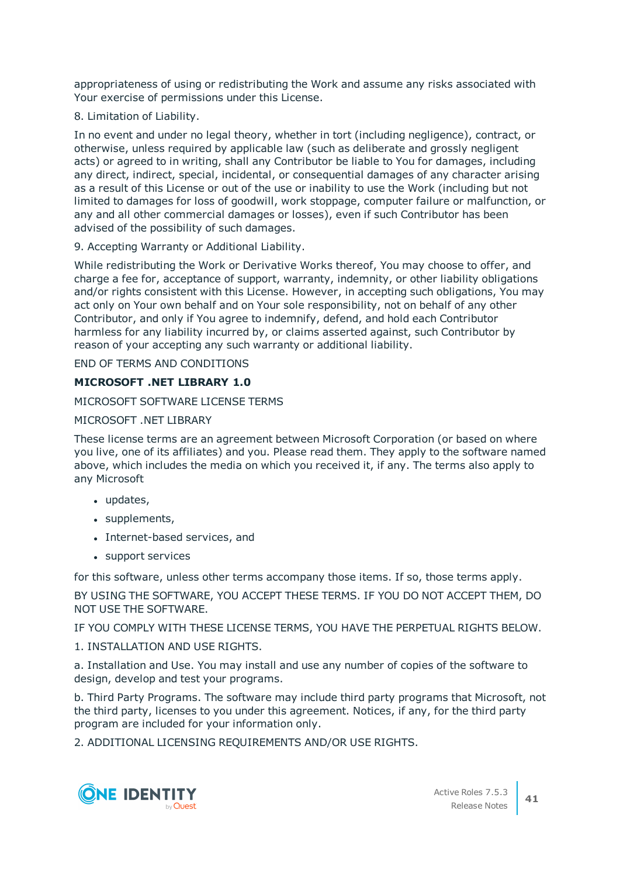appropriateness of using or redistributing the Work and assume any risks associated with Your exercise of permissions under this License.

8. Limitation of Liability.

In no event and under no legal theory, whether in tort (including negligence), contract, or otherwise, unless required by applicable law (such as deliberate and grossly negligent acts) or agreed to in writing, shall any Contributor be liable to You for damages, including any direct, indirect, special, incidental, or consequential damages of any character arising as a result of this License or out of the use or inability to use the Work (including but not limited to damages for loss of goodwill, work stoppage, computer failure or malfunction, or any and all other commercial damages or losses), even if such Contributor has been advised of the possibility of such damages.

9. Accepting Warranty or Additional Liability.

While redistributing the Work or Derivative Works thereof, You may choose to offer, and charge a fee for, acceptance of support, warranty, indemnity, or other liability obligations and/or rights consistent with this License. However, in accepting such obligations, You may act only on Your own behalf and on Your sole responsibility, not on behalf of any other Contributor, and only if You agree to indemnify, defend, and hold each Contributor harmless for any liability incurred by, or claims asserted against, such Contributor by reason of your accepting any such warranty or additional liability.

END OF TERMS AND CONDITIONS

### **MICROSOFT .NET LIBRARY 1.0**

MICROSOFT SOFTWARE LICENSE TERMS

### MICROSOFT .NET LIBRARY

These license terms are an agreement between Microsoft Corporation (or based on where you live, one of its affiliates) and you. Please read them. They apply to the software named above, which includes the media on which you received it, if any. The terms also apply to any Microsoft

- updates,
- supplements,
- Internet-based services, and
- support services

for this software, unless other terms accompany those items. If so, those terms apply.

BY USING THE SOFTWARE, YOU ACCEPT THESE TERMS. IF YOU DO NOT ACCEPT THEM, DO NOT USE THE SOFTWARE.

IF YOU COMPLY WITH THESE LICENSE TERMS, YOU HAVE THE PERPETUAL RIGHTS BELOW.

1. INSTALLATION AND USE RIGHTS.

a. Installation and Use. You may install and use any number of copies of the software to design, develop and test your programs.

b. Third Party Programs. The software may include third party programs that Microsoft, not the third party, licenses to you under this agreement. Notices, if any, for the third party program are included for your information only.

2. ADDITIONAL LICENSING REQUIREMENTS AND/OR USE RIGHTS.

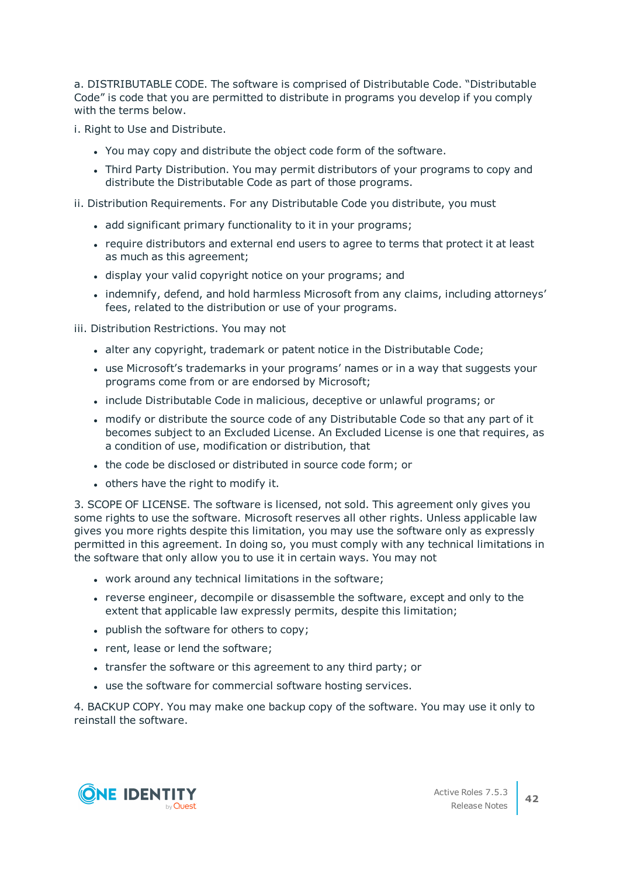a. DISTRIBUTABLE CODE. The software is comprised of Distributable Code. "Distributable Code" is code that you are permitted to distribute in programs you develop if you comply with the terms below.

i. Right to Use and Distribute.

- You may copy and distribute the object code form of the software.
- Third Party Distribution. You may permit distributors of your programs to copy and distribute the Distributable Code as part of those programs.

ii. Distribution Requirements. For any Distributable Code you distribute, you must

- . add significant primary functionality to it in your programs;
- require distributors and external end users to agree to terms that protect it at least as much as this agreement;
- display your valid copyright notice on your programs; and
- indemnify, defend, and hold harmless Microsoft from any claims, including attorneys' fees, related to the distribution or use of your programs.

iii. Distribution Restrictions. You may not

- alter any copyright, trademark or patent notice in the Distributable Code;
- use Microsoft's trademarks in your programs' names or in a way that suggests your programs come from or are endorsed by Microsoft;
- include Distributable Code in malicious, deceptive or unlawful programs; or
- modify or distribute the source code of any Distributable Code so that any part of it becomes subject to an Excluded License. An Excluded License is one that requires, as a condition of use, modification or distribution, that
- the code be disclosed or distributed in source code form; or
- others have the right to modify it.

3. SCOPE OF LICENSE. The software is licensed, not sold. This agreement only gives you some rights to use the software. Microsoft reserves all other rights. Unless applicable law gives you more rights despite this limitation, you may use the software only as expressly permitted in this agreement. In doing so, you must comply with any technical limitations in the software that only allow you to use it in certain ways. You may not

- work around any technical limitations in the software;
- reverse engineer, decompile or disassemble the software, except and only to the extent that applicable law expressly permits, despite this limitation;
- publish the software for others to copy;
- rent, lease or lend the software;
- transfer the software or this agreement to any third party; or
- use the software for commercial software hosting services.

4. BACKUP COPY. You may make one backup copy of the software. You may use it only to reinstall the software.

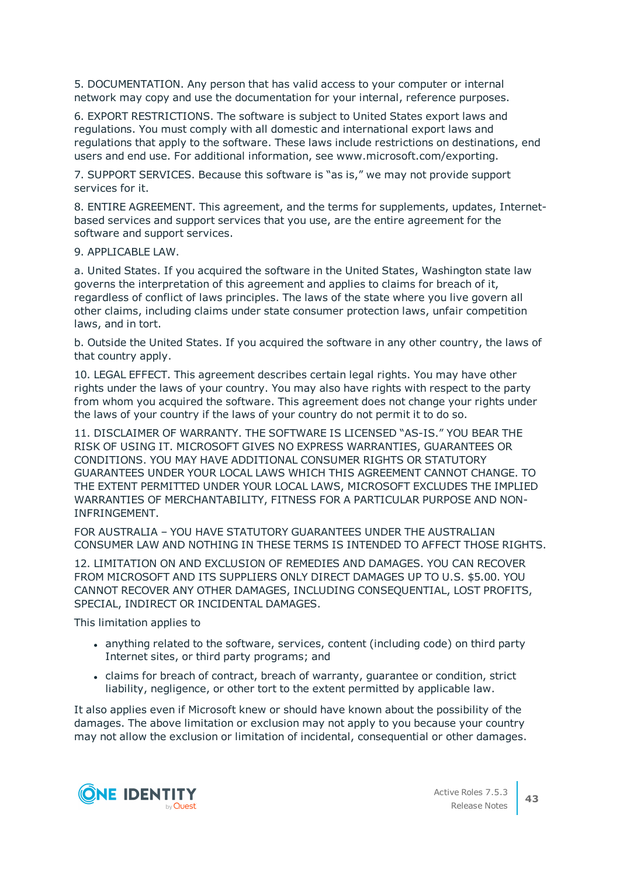5. DOCUMENTATION. Any person that has valid access to your computer or internal network may copy and use the documentation for your internal, reference purposes.

6. EXPORT RESTRICTIONS. The software is subject to United States export laws and regulations. You must comply with all domestic and international export laws and regulations that apply to the software. These laws include restrictions on destinations, end users and end use. For additional information, see www.microsoft.com/exporting.

7. SUPPORT SERVICES. Because this software is "as is," we may not provide support services for it.

8. ENTIRE AGREEMENT. This agreement, and the terms for supplements, updates, Internetbased services and support services that you use, are the entire agreement for the software and support services.

9. APPLICABLE LAW.

a. United States. If you acquired the software in the United States, Washington state law governs the interpretation of this agreement and applies to claims for breach of it, regardless of conflict of laws principles. The laws of the state where you live govern all other claims, including claims under state consumer protection laws, unfair competition laws, and in tort.

b. Outside the United States. If you acquired the software in any other country, the laws of that country apply.

10. LEGAL EFFECT. This agreement describes certain legal rights. You may have other rights under the laws of your country. You may also have rights with respect to the party from whom you acquired the software. This agreement does not change your rights under the laws of your country if the laws of your country do not permit it to do so.

11. DISCLAIMER OF WARRANTY. THE SOFTWARE IS LICENSED "AS-IS." YOU BEAR THE RISK OF USING IT. MICROSOFT GIVES NO EXPRESS WARRANTIES, GUARANTEES OR CONDITIONS. YOU MAY HAVE ADDITIONAL CONSUMER RIGHTS OR STATUTORY GUARANTEES UNDER YOUR LOCAL LAWS WHICH THIS AGREEMENT CANNOT CHANGE. TO THE EXTENT PERMITTED UNDER YOUR LOCAL LAWS, MICROSOFT EXCLUDES THE IMPLIED WARRANTIES OF MERCHANTABILITY, FITNESS FOR A PARTICULAR PURPOSE AND NON-INFRINGEMENT.

FOR AUSTRALIA – YOU HAVE STATUTORY GUARANTEES UNDER THE AUSTRALIAN CONSUMER LAW AND NOTHING IN THESE TERMS IS INTENDED TO AFFECT THOSE RIGHTS.

12. LIMITATION ON AND EXCLUSION OF REMEDIES AND DAMAGES. YOU CAN RECOVER FROM MICROSOFT AND ITS SUPPLIERS ONLY DIRECT DAMAGES UP TO U.S. \$5.00. YOU CANNOT RECOVER ANY OTHER DAMAGES, INCLUDING CONSEQUENTIAL, LOST PROFITS, SPECIAL, INDIRECT OR INCIDENTAL DAMAGES.

This limitation applies to

- anything related to the software, services, content (including code) on third party Internet sites, or third party programs; and
- claims for breach of contract, breach of warranty, guarantee or condition, strict liability, negligence, or other tort to the extent permitted by applicable law.

It also applies even if Microsoft knew or should have known about the possibility of the damages. The above limitation or exclusion may not apply to you because your country may not allow the exclusion or limitation of incidental, consequential or other damages.

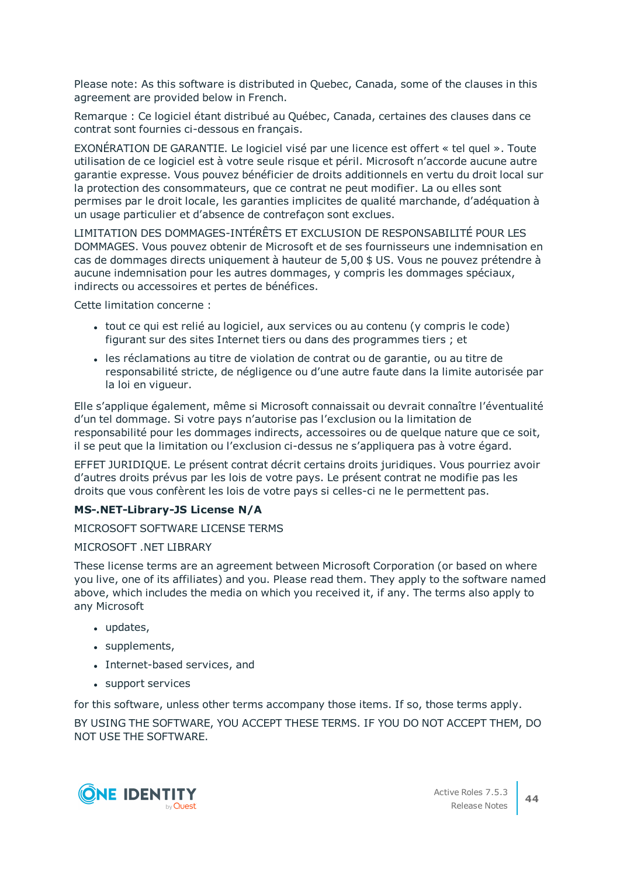Please note: As this software is distributed in Quebec, Canada, some of the clauses in this agreement are provided below in French.

Remarque : Ce logiciel étant distribué au Québec, Canada, certaines des clauses dans ce contrat sont fournies ci-dessous en français.

EXONÉRATION DE GARANTIE. Le logiciel visé par une licence est offert « tel quel ». Toute utilisation de ce logiciel est à votre seule risque et péril. Microsoft n'accorde aucune autre garantie expresse. Vous pouvez bénéficier de droits additionnels en vertu du droit local sur la protection des consommateurs, que ce contrat ne peut modifier. La ou elles sont permises par le droit locale, les garanties implicites de qualité marchande, d'adéquation à un usage particulier et d'absence de contrefaçon sont exclues.

LIMITATION DES DOMMAGES-INTÉRÊTS ET EXCLUSION DE RESPONSABILITÉ POUR LES DOMMAGES. Vous pouvez obtenir de Microsoft et de ses fournisseurs une indemnisation en cas de dommages directs uniquement à hauteur de 5,00 \$ US. Vous ne pouvez prétendre à aucune indemnisation pour les autres dommages, y compris les dommages spéciaux, indirects ou accessoires et pertes de bénéfices.

Cette limitation concerne :

- i tout ce qui est relié au logiciel, aux services ou au contenu (y compris le code) figurant sur des sites Internet tiers ou dans des programmes tiers ; et
- les réclamations au titre de violation de contrat ou de garantie, ou au titre de responsabilité stricte, de négligence ou d'une autre faute dans la limite autorisée par la loi en vigueur.

Elle s'applique également, même si Microsoft connaissait ou devrait connaître l'éventualité d'un tel dommage. Si votre pays n'autorise pas l'exclusion ou la limitation de responsabilité pour les dommages indirects, accessoires ou de quelque nature que ce soit, il se peut que la limitation ou l'exclusion ci-dessus ne s'appliquera pas à votre égard.

EFFET JURIDIQUE. Le présent contrat décrit certains droits juridiques. Vous pourriez avoir d'autres droits prévus par les lois de votre pays. Le présent contrat ne modifie pas les droits que vous confèrent les lois de votre pays si celles-ci ne le permettent pas.

### **MS-.NET-Library-JS License N/A**

MICROSOFT SOFTWARE LICENSE TERMS

### MICROSOFT .NET LIBRARY

These license terms are an agreement between Microsoft Corporation (or based on where you live, one of its affiliates) and you. Please read them. They apply to the software named above, which includes the media on which you received it, if any. The terms also apply to any Microsoft

- $\bullet$  updates,
- supplements,
- Internet-based services, and
- support services

for this software, unless other terms accompany those items. If so, those terms apply.

BY USING THE SOFTWARE, YOU ACCEPT THESE TERMS. IF YOU DO NOT ACCEPT THEM, DO NOT USE THE SOFTWARE.

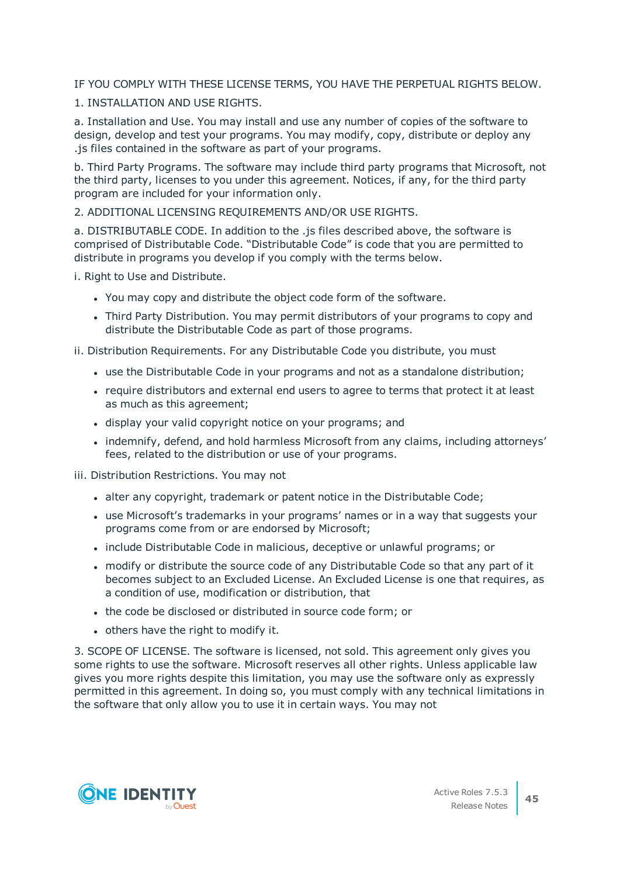IF YOU COMPLY WITH THESE LICENSE TERMS, YOU HAVE THE PERPETUAL RIGHTS BELOW.

1. INSTALLATION AND USE RIGHTS.

a. Installation and Use. You may install and use any number of copies of the software to design, develop and test your programs. You may modify, copy, distribute or deploy any .js files contained in the software as part of your programs.

b. Third Party Programs. The software may include third party programs that Microsoft, not the third party, licenses to you under this agreement. Notices, if any, for the third party program are included for your information only.

2. ADDITIONAL LICENSING REQUIREMENTS AND/OR USE RIGHTS.

a. DISTRIBUTABLE CODE. In addition to the .js files described above, the software is comprised of Distributable Code. "Distributable Code" is code that you are permitted to distribute in programs you develop if you comply with the terms below.

i. Right to Use and Distribute.

- You may copy and distribute the object code form of the software.
- Third Party Distribution. You may permit distributors of your programs to copy and distribute the Distributable Code as part of those programs.

ii. Distribution Requirements. For any Distributable Code you distribute, you must

- use the Distributable Code in your programs and not as a standalone distribution;
- require distributors and external end users to agree to terms that protect it at least as much as this agreement;
- display your valid copyright notice on your programs; and
- indemnify, defend, and hold harmless Microsoft from any claims, including attorneys' fees, related to the distribution or use of your programs.

iii. Distribution Restrictions. You may not

- alter any copyright, trademark or patent notice in the Distributable Code;
- use Microsoft's trademarks in your programs' names or in a way that suggests your programs come from or are endorsed by Microsoft;
- <sup>l</sup> include Distributable Code in malicious, deceptive or unlawful programs; or
- modify or distribute the source code of any Distributable Code so that any part of it becomes subject to an Excluded License. An Excluded License is one that requires, as a condition of use, modification or distribution, that
- the code be disclosed or distributed in source code form; or
- others have the right to modify it.

3. SCOPE OF LICENSE. The software is licensed, not sold. This agreement only gives you some rights to use the software. Microsoft reserves all other rights. Unless applicable law gives you more rights despite this limitation, you may use the software only as expressly permitted in this agreement. In doing so, you must comply with any technical limitations in the software that only allow you to use it in certain ways. You may not

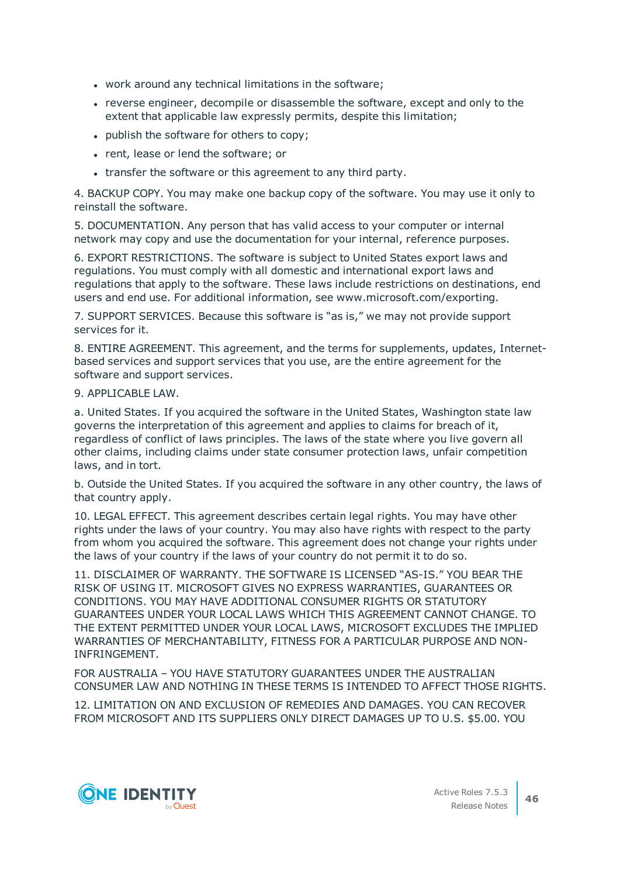- work around any technical limitations in the software;
- reverse engineer, decompile or disassemble the software, except and only to the extent that applicable law expressly permits, despite this limitation;
- publish the software for others to copy;
- rent, lease or lend the software; or
- transfer the software or this agreement to any third party.

4. BACKUP COPY. You may make one backup copy of the software. You may use it only to reinstall the software.

5. DOCUMENTATION. Any person that has valid access to your computer or internal network may copy and use the documentation for your internal, reference purposes.

6. EXPORT RESTRICTIONS. The software is subject to United States export laws and regulations. You must comply with all domestic and international export laws and regulations that apply to the software. These laws include restrictions on destinations, end users and end use. For additional information, see www.microsoft.com/exporting.

7. SUPPORT SERVICES. Because this software is "as is," we may not provide support services for it.

8. ENTIRE AGREEMENT. This agreement, and the terms for supplements, updates, Internetbased services and support services that you use, are the entire agreement for the software and support services.

### 9. APPLICABLE LAW.

a. United States. If you acquired the software in the United States, Washington state law governs the interpretation of this agreement and applies to claims for breach of it, regardless of conflict of laws principles. The laws of the state where you live govern all other claims, including claims under state consumer protection laws, unfair competition laws, and in tort.

b. Outside the United States. If you acquired the software in any other country, the laws of that country apply.

10. LEGAL EFFECT. This agreement describes certain legal rights. You may have other rights under the laws of your country. You may also have rights with respect to the party from whom you acquired the software. This agreement does not change your rights under the laws of your country if the laws of your country do not permit it to do so.

11. DISCLAIMER OF WARRANTY. THE SOFTWARE IS LICENSED "AS-IS." YOU BEAR THE RISK OF USING IT. MICROSOFT GIVES NO EXPRESS WARRANTIES, GUARANTEES OR CONDITIONS. YOU MAY HAVE ADDITIONAL CONSUMER RIGHTS OR STATUTORY GUARANTEES UNDER YOUR LOCAL LAWS WHICH THIS AGREEMENT CANNOT CHANGE. TO THE EXTENT PERMITTED UNDER YOUR LOCAL LAWS, MICROSOFT EXCLUDES THE IMPLIED WARRANTIES OF MERCHANTABILITY, FITNESS FOR A PARTICULAR PURPOSE AND NON-INFRINGEMENT.

FOR AUSTRALIA – YOU HAVE STATUTORY GUARANTEES UNDER THE AUSTRALIAN CONSUMER LAW AND NOTHING IN THESE TERMS IS INTENDED TO AFFECT THOSE RIGHTS.

12. LIMITATION ON AND EXCLUSION OF REMEDIES AND DAMAGES. YOU CAN RECOVER FROM MICROSOFT AND ITS SUPPLIERS ONLY DIRECT DAMAGES UP TO U.S. \$5.00. YOU

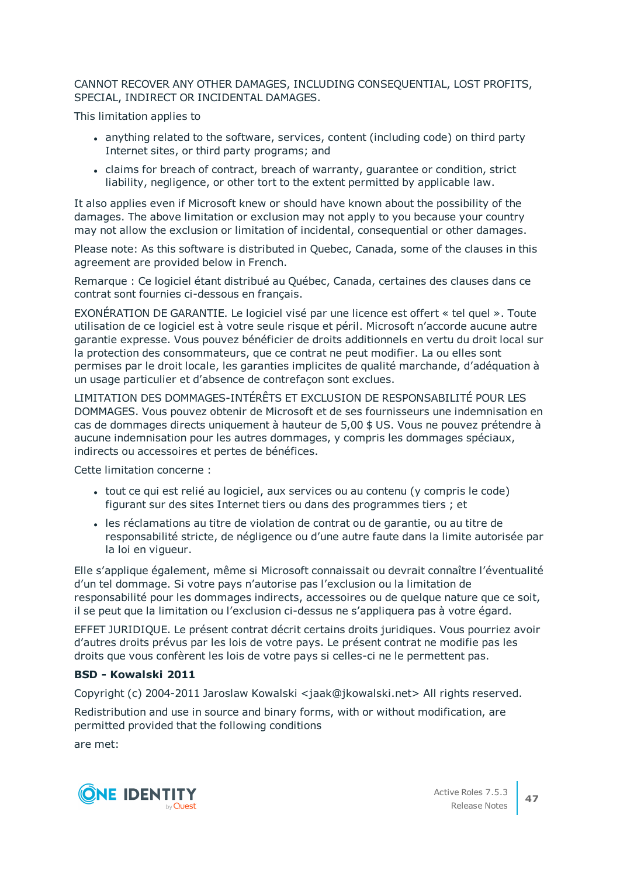### CANNOT RECOVER ANY OTHER DAMAGES, INCLUDING CONSEQUENTIAL, LOST PROFITS, SPECIAL, INDIRECT OR INCIDENTAL DAMAGES.

This limitation applies to

- anything related to the software, services, content (including code) on third party Internet sites, or third party programs; and
- <sup>l</sup> claims for breach of contract, breach of warranty, guarantee or condition, strict liability, negligence, or other tort to the extent permitted by applicable law.

It also applies even if Microsoft knew or should have known about the possibility of the damages. The above limitation or exclusion may not apply to you because your country may not allow the exclusion or limitation of incidental, consequential or other damages.

Please note: As this software is distributed in Quebec, Canada, some of the clauses in this agreement are provided below in French.

Remarque : Ce logiciel étant distribué au Québec, Canada, certaines des clauses dans ce contrat sont fournies ci-dessous en français.

EXONÉRATION DE GARANTIE. Le logiciel visé par une licence est offert « tel quel ». Toute utilisation de ce logiciel est à votre seule risque et péril. Microsoft n'accorde aucune autre garantie expresse. Vous pouvez bénéficier de droits additionnels en vertu du droit local sur la protection des consommateurs, que ce contrat ne peut modifier. La ou elles sont permises par le droit locale, les garanties implicites de qualité marchande, d'adéquation à un usage particulier et d'absence de contrefaçon sont exclues.

LIMITATION DES DOMMAGES-INTÉRÊTS ET EXCLUSION DE RESPONSABILITÉ POUR LES DOMMAGES. Vous pouvez obtenir de Microsoft et de ses fournisseurs une indemnisation en cas de dommages directs uniquement à hauteur de 5,00 \$ US. Vous ne pouvez prétendre à aucune indemnisation pour les autres dommages, y compris les dommages spéciaux, indirects ou accessoires et pertes de bénéfices.

Cette limitation concerne :

- i tout ce qui est relié au logiciel, aux services ou au contenu (y compris le code) figurant sur des sites Internet tiers ou dans des programmes tiers ; et
- les réclamations au titre de violation de contrat ou de garantie, ou au titre de responsabilité stricte, de négligence ou d'une autre faute dans la limite autorisée par la loi en vigueur.

Elle s'applique également, même si Microsoft connaissait ou devrait connaître l'éventualité d'un tel dommage. Si votre pays n'autorise pas l'exclusion ou la limitation de responsabilité pour les dommages indirects, accessoires ou de quelque nature que ce soit, il se peut que la limitation ou l'exclusion ci-dessus ne s'appliquera pas à votre égard.

EFFET JURIDIQUE. Le présent contrat décrit certains droits juridiques. Vous pourriez avoir d'autres droits prévus par les lois de votre pays. Le présent contrat ne modifie pas les droits que vous confèrent les lois de votre pays si celles-ci ne le permettent pas.

### **BSD - Kowalski 2011**

Copyright (c) 2004-2011 Jaroslaw Kowalski <jaak@jkowalski.net> All rights reserved.

Redistribution and use in source and binary forms, with or without modification, are permitted provided that the following conditions

are met:

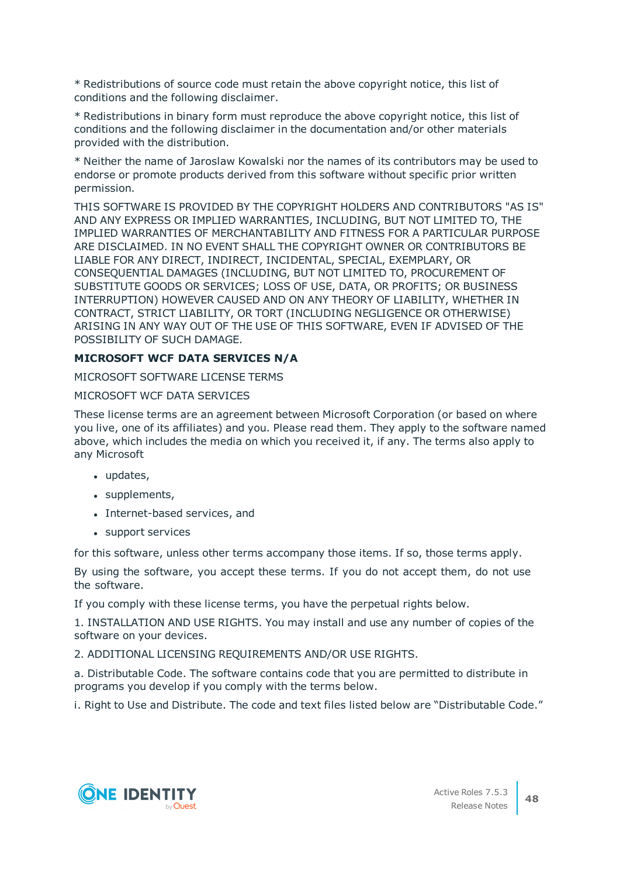\* Redistributions of source code must retain the above copyright notice, this list of conditions and the following disclaimer.

\* Redistributions in binary form must reproduce the above copyright notice, this list of conditions and the following disclaimer in the documentation and/or other materials provided with the distribution.

\* Neither the name of Jaroslaw Kowalski nor the names of its contributors may be used to endorse or promote products derived from this software without specific prior written permission.

THIS SOFTWARE IS PROVIDED BY THE COPYRIGHT HOLDERS AND CONTRIBUTORS "AS IS" AND ANY EXPRESS OR IMPLIED WARRANTIES, INCLUDING, BUT NOT LIMITED TO, THE IMPLIED WARRANTIES OF MERCHANTABILITY AND FITNESS FOR A PARTICULAR PURPOSE ARE DISCLAIMED. IN NO EVENT SHALL THE COPYRIGHT OWNER OR CONTRIBUTORS BE LIABLE FOR ANY DIRECT, INDIRECT, INCIDENTAL, SPECIAL, EXEMPLARY, OR CONSEQUENTIAL DAMAGES (INCLUDING, BUT NOT LIMITED TO, PROCUREMENT OF SUBSTITUTE GOODS OR SERVICES; LOSS OF USE, DATA, OR PROFITS; OR BUSINESS INTERRUPTION) HOWEVER CAUSED AND ON ANY THEORY OF LIABILITY, WHETHER IN CONTRACT, STRICT LIABILITY, OR TORT (INCLUDING NEGLIGENCE OR OTHERWISE) ARISING IN ANY WAY OUT OF THE USE OF THIS SOFTWARE, EVEN IF ADVISED OF THE POSSIBILITY OF SUCH DAMAGE.

### **MICROSOFT WCF DATA SERVICES N/A**

MICROSOFT SOFTWARE LICENSE TERMS

#### MICROSOFT WCF DATA SERVICES

These license terms are an agreement between Microsoft Corporation (or based on where you live, one of its affiliates) and you. Please read them. They apply to the software named above, which includes the media on which you received it, if any. The terms also apply to any Microsoft

- updates,
- supplements,
- Internet-based services, and
- support services

for this software, unless other terms accompany those items. If so, those terms apply.

By using the software, you accept these terms. If you do not accept them, do not use the software.

If you comply with these license terms, you have the perpetual rights below.

1. INSTALLATION AND USE RIGHTS. You may install and use any number of copies of the software on your devices.

2. ADDITIONAL LICENSING REQUIREMENTS AND/OR USE RIGHTS.

a. Distributable Code. The software contains code that you are permitted to distribute in programs you develop if you comply with the terms below.

i. Right to Use and Distribute. The code and text files listed below are "Distributable Code."

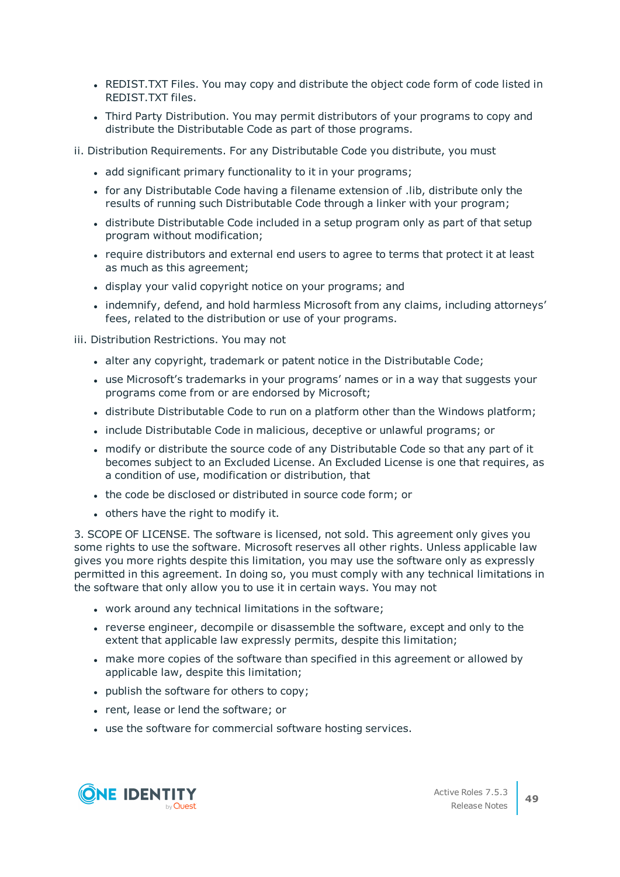- REDIST.TXT Files. You may copy and distribute the object code form of code listed in REDIST.TXT files.
- Third Party Distribution. You may permit distributors of your programs to copy and distribute the Distributable Code as part of those programs.

ii. Distribution Requirements. For any Distributable Code you distribute, you must

- . add significant primary functionality to it in your programs;
- for any Distributable Code having a filename extension of .lib, distribute only the results of running such Distributable Code through a linker with your program;
- distribute Distributable Code included in a setup program only as part of that setup program without modification;
- require distributors and external end users to agree to terms that protect it at least as much as this agreement;
- display your valid copyright notice on your programs; and
- indemnify, defend, and hold harmless Microsoft from any claims, including attorneys' fees, related to the distribution or use of your programs.

iii. Distribution Restrictions. You may not

- alter any copyright, trademark or patent notice in the Distributable Code;
- use Microsoft's trademarks in your programs' names or in a way that suggests your programs come from or are endorsed by Microsoft;
- distribute Distributable Code to run on a platform other than the Windows platform;
- <sup>l</sup> include Distributable Code in malicious, deceptive or unlawful programs; or
- modify or distribute the source code of any Distributable Code so that any part of it becomes subject to an Excluded License. An Excluded License is one that requires, as a condition of use, modification or distribution, that
- . the code be disclosed or distributed in source code form; or
- others have the right to modify it.

3. SCOPE OF LICENSE. The software is licensed, not sold. This agreement only gives you some rights to use the software. Microsoft reserves all other rights. Unless applicable law gives you more rights despite this limitation, you may use the software only as expressly permitted in this agreement. In doing so, you must comply with any technical limitations in the software that only allow you to use it in certain ways. You may not

- work around any technical limitations in the software;
- reverse engineer, decompile or disassemble the software, except and only to the extent that applicable law expressly permits, despite this limitation;
- make more copies of the software than specified in this agreement or allowed by applicable law, despite this limitation;
- publish the software for others to copy;
- rent, lease or lend the software; or
- . use the software for commercial software hosting services.

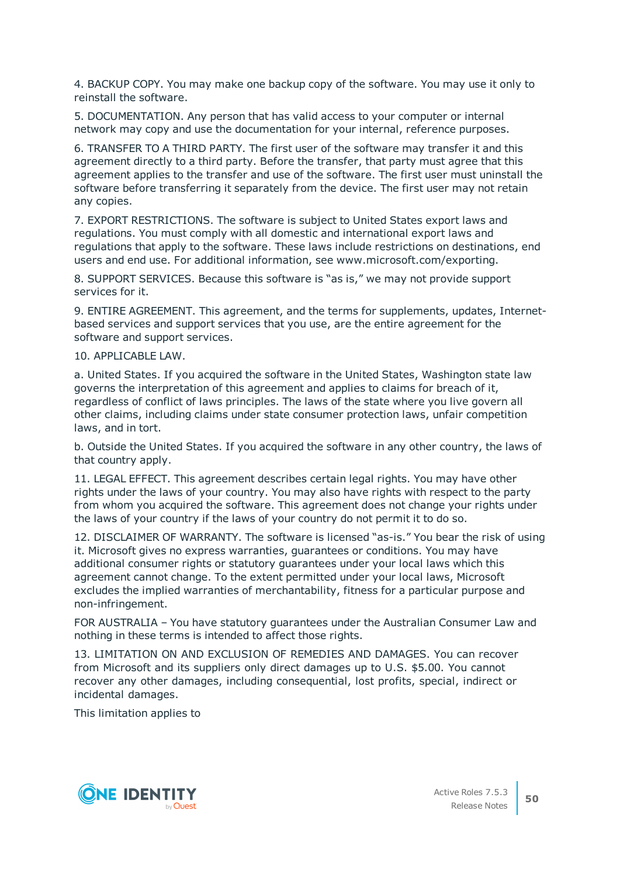4. BACKUP COPY. You may make one backup copy of the software. You may use it only to reinstall the software.

5. DOCUMENTATION. Any person that has valid access to your computer or internal network may copy and use the documentation for your internal, reference purposes.

6. TRANSFER TO A THIRD PARTY. The first user of the software may transfer it and this agreement directly to a third party. Before the transfer, that party must agree that this agreement applies to the transfer and use of the software. The first user must uninstall the software before transferring it separately from the device. The first user may not retain any copies.

7. EXPORT RESTRICTIONS. The software is subject to United States export laws and regulations. You must comply with all domestic and international export laws and regulations that apply to the software. These laws include restrictions on destinations, end users and end use. For additional information, see www.microsoft.com/exporting.

8. SUPPORT SERVICES. Because this software is "as is," we may not provide support services for it.

9. ENTIRE AGREEMENT. This agreement, and the terms for supplements, updates, Internetbased services and support services that you use, are the entire agreement for the software and support services.

10. APPLICABLE LAW.

a. United States. If you acquired the software in the United States, Washington state law governs the interpretation of this agreement and applies to claims for breach of it, regardless of conflict of laws principles. The laws of the state where you live govern all other claims, including claims under state consumer protection laws, unfair competition laws, and in tort.

b. Outside the United States. If you acquired the software in any other country, the laws of that country apply.

11. LEGAL EFFECT. This agreement describes certain legal rights. You may have other rights under the laws of your country. You may also have rights with respect to the party from whom you acquired the software. This agreement does not change your rights under the laws of your country if the laws of your country do not permit it to do so.

12. DISCLAIMER OF WARRANTY. The software is licensed "as-is." You bear the risk of using it. Microsoft gives no express warranties, guarantees or conditions. You may have additional consumer rights or statutory guarantees under your local laws which this agreement cannot change. To the extent permitted under your local laws, Microsoft excludes the implied warranties of merchantability, fitness for a particular purpose and non-infringement.

FOR AUSTRALIA – You have statutory guarantees under the Australian Consumer Law and nothing in these terms is intended to affect those rights.

13. LIMITATION ON AND EXCLUSION OF REMEDIES AND DAMAGES. You can recover from Microsoft and its suppliers only direct damages up to U.S. \$5.00. You cannot recover any other damages, including consequential, lost profits, special, indirect or incidental damages.

This limitation applies to